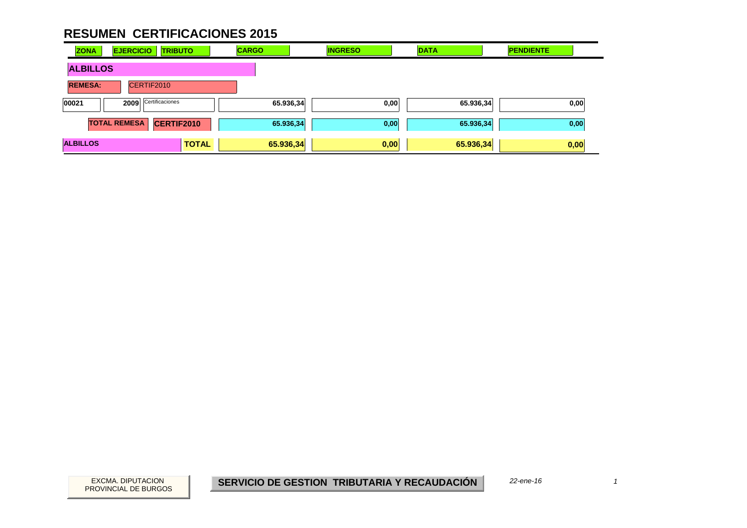| <b>ZONA</b>     | <b>EJERCICIO</b><br><b>TRIBUTO</b>       | <b>CARGO</b> | <b>INGRESO</b> | <b>DATA</b> | <b>PENDIENTE</b> |
|-----------------|------------------------------------------|--------------|----------------|-------------|------------------|
| <b>ALBILLOS</b> |                                          |              |                |             |                  |
| <b>REMESA:</b>  | CERTIF2010                               |              |                |             |                  |
| 00021           | Certificaciones<br>2009                  | 65.936,34    | 0,00           | 65.936,34   | 0,00             |
|                 | <b>TOTAL REMESA</b><br><b>CERTIF2010</b> | 65.936,34    | 0,00           | 65.936,34   | 0,00             |
| <b>ALBILLOS</b> | <b>TOTAL</b>                             | 65.936,34    | 0,00           | 65.936,34   | 0,00             |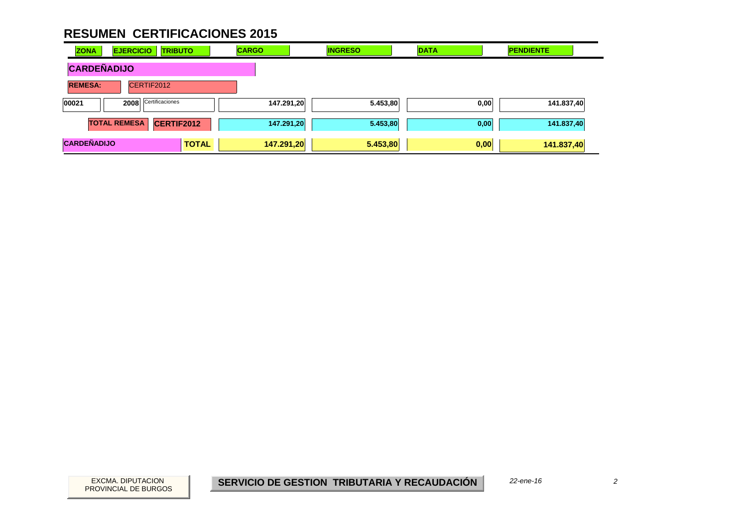| <b>ZONA</b>        | <b>EJERCICIO</b>    | <b>TRIBUTO</b>  | <b>CARGO</b> | <b>INGRESO</b> | <b>DATA</b> | <b>PENDIENTE</b> |
|--------------------|---------------------|-----------------|--------------|----------------|-------------|------------------|
| <b>CARDEÑADIJO</b> |                     |                 |              |                |             |                  |
| <b>REMESA:</b>     | CERTIF2012          |                 |              |                |             |                  |
| 00021              | 2008                | Certificaciones | 147.291,20   | 5.453,80       | 0,00        | 141.837,40       |
|                    | <b>TOTAL REMESA</b> | CERTIF2012      | 147.291,20   | 5.453,80       | 0,00        | 141.837,40       |
| <b>CARDEÑADIJO</b> |                     | <b>TOTAL</b>    | 147.291,20   | 5.453,80       | 0,00        | 141.837,40       |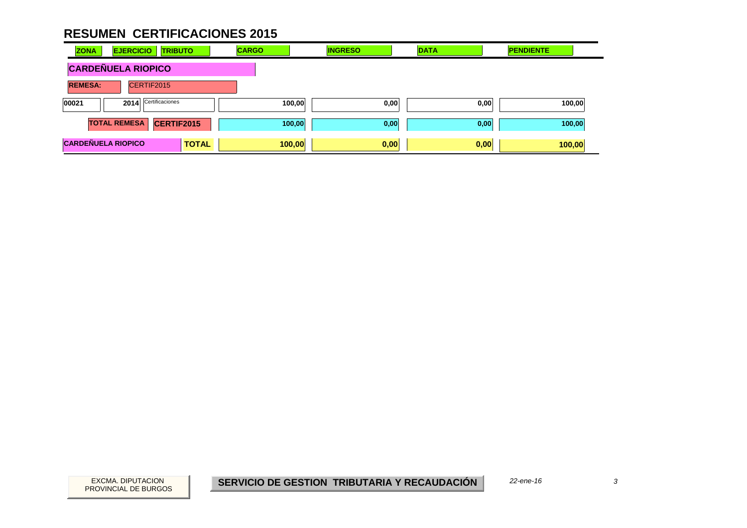| <b>ZONA</b>               | <b>EJERCICIO</b>          | <b>TRIBUTO</b>    | <b>CARGO</b> | <b>INGRESO</b> |      | <b>DATA</b> | <b>PENDIENTE</b> |  |
|---------------------------|---------------------------|-------------------|--------------|----------------|------|-------------|------------------|--|
|                           | <b>CARDEÑUELA RIOPICO</b> |                   |              |                |      |             |                  |  |
| <b>REMESA:</b>            | CERTIF2015                |                   |              |                |      |             |                  |  |
| 00021                     | 2014                      | Certificaciones   |              | 100,00         | 0,00 | 0,00        | 100,00           |  |
|                           | <b>TOTAL REMESA</b>       | <b>CERTIF2015</b> |              | 100,00         | 0,00 | 0,00        | 100,00           |  |
| <b>CARDEÑUELA RIOPICO</b> |                           | <b>TOTAL</b>      |              | 100,00         | 0,00 | 0,00        | 100,00           |  |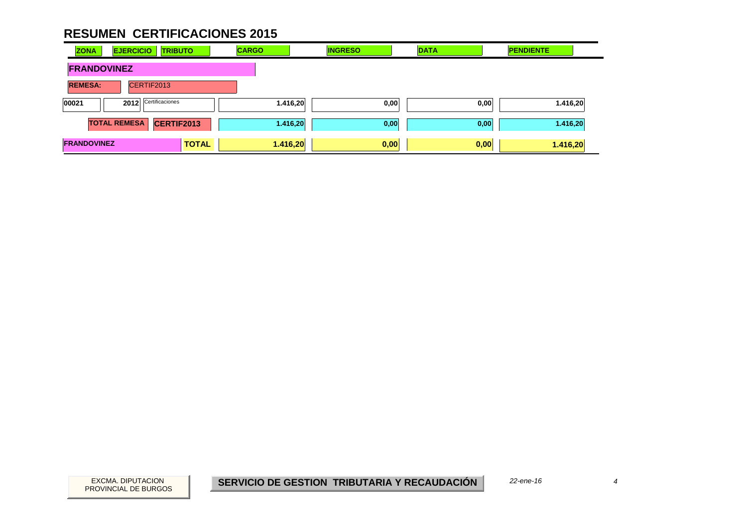| <b>ZONA</b>        | <b>EJERCICIO</b>        | <b>TRIBUTO</b> | <b>CARGO</b> | <b>INGRESO</b> | <b>DATA</b> | <b>PENDIENTE</b> |
|--------------------|-------------------------|----------------|--------------|----------------|-------------|------------------|
| <b>FRANDOVINEZ</b> |                         |                |              |                |             |                  |
| <b>REMESA:</b>     | CERTIF2013              |                |              |                |             |                  |
| 00021              | Certificaciones<br>2012 |                | 1.416,20     | 0,00           | 0,00        | 1.416,20         |
|                    | <b>TOTAL REMESA</b>     | CERTIF2013     | 1.416,20     | 0,00           | 0,00        | 1.416,20         |
| <b>FRANDOVINEZ</b> |                         | <b>TOTAL</b>   | 1.416,20     | 0,00           | 0,00        | 1.416,20         |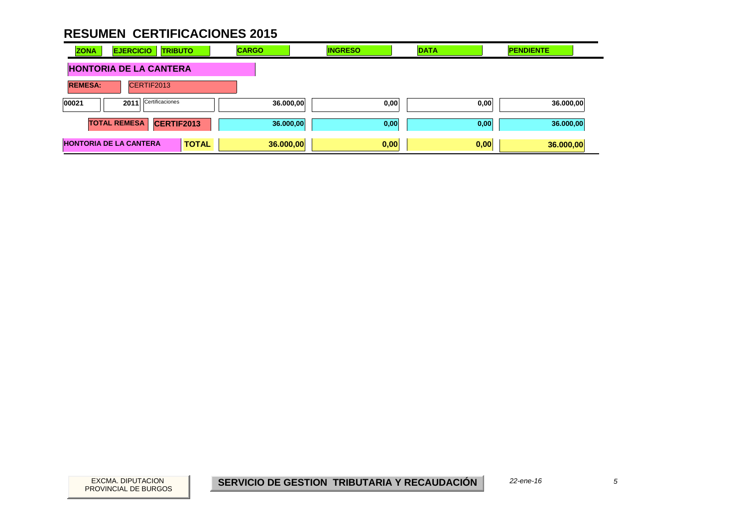| <b>ZONA</b>                   | <b>EJERCICIO</b>    | <b>TRIBUTO</b>  |              | <b>CARGO</b> |           | <b>INGRESO</b> |      | <b>DATA</b> | <b>PENDIENTE</b> |  |
|-------------------------------|---------------------|-----------------|--------------|--------------|-----------|----------------|------|-------------|------------------|--|
| <b>HONTORIA DE LA CANTERA</b> |                     |                 |              |              |           |                |      |             |                  |  |
| <b>REMESA:</b>                | CERTIF2013          |                 |              |              |           |                |      |             |                  |  |
| 00021                         | 2011                | Certificaciones |              |              | 36.000,00 |                | 0,00 | 0,00        | 36.000,00        |  |
|                               | <b>TOTAL REMESA</b> | CERTIF2013      |              |              | 36.000,00 |                | 0,00 | 0,00        | 36.000,00        |  |
| <b>HONTORIA DE LA CANTERA</b> |                     |                 | <b>TOTAL</b> |              | 36.000,00 |                | 0,00 | 0,00        | 36.000,00        |  |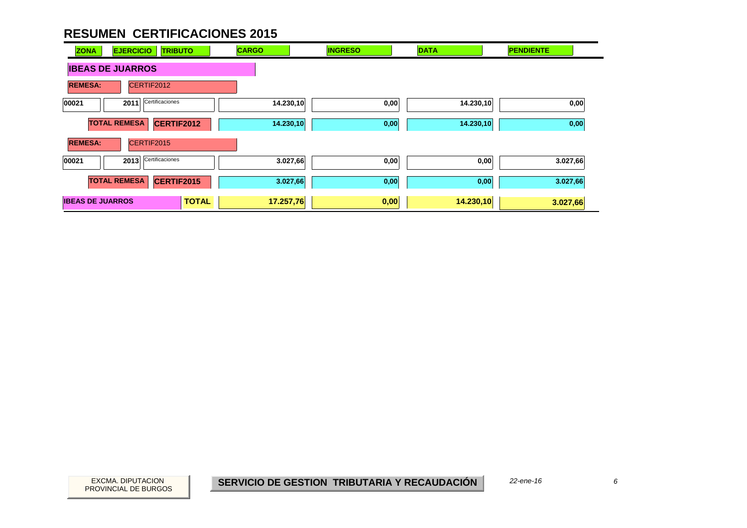| <b>ZONA</b>             | <b>EJERCICIO</b><br><b>TRIBUTO</b> | <b>CARGO</b>              | <b>INGRESO</b> | <b>DATA</b> | <b>PENDIENTE</b> |
|-------------------------|------------------------------------|---------------------------|----------------|-------------|------------------|
| <b>IBEAS DE JUARROS</b> |                                    |                           |                |             |                  |
| <b>REMESA:</b>          | CERTIF2012                         |                           |                |             |                  |
| 00021                   | Certificaciones<br>2011            | 14.230,10                 | 0,00           | 14.230,10   | 0,00             |
| <b>TOTAL REMESA</b>     | CERTIF2012                         | 14.230,10                 | 0,00           | 14.230,10   | 0,00             |
| <b>REMESA:</b>          | CERTIF2015                         |                           |                |             |                  |
| 00021                   | Certificaciones<br>2013            | 3.027,66                  | 0,00           | 0,00        | 3.027,66         |
| <b>TOTAL REMESA</b>     | CERTIF2015                         | 3.027,66                  | 0,00           | 0,00        | 3.027,66         |
| <b>IBEAS DE JUARROS</b> |                                    | <b>TOTAL</b><br>17.257,76 | 0,00           | 14.230,10   | 3.027,66         |

PROVINCIAL DE BURGOS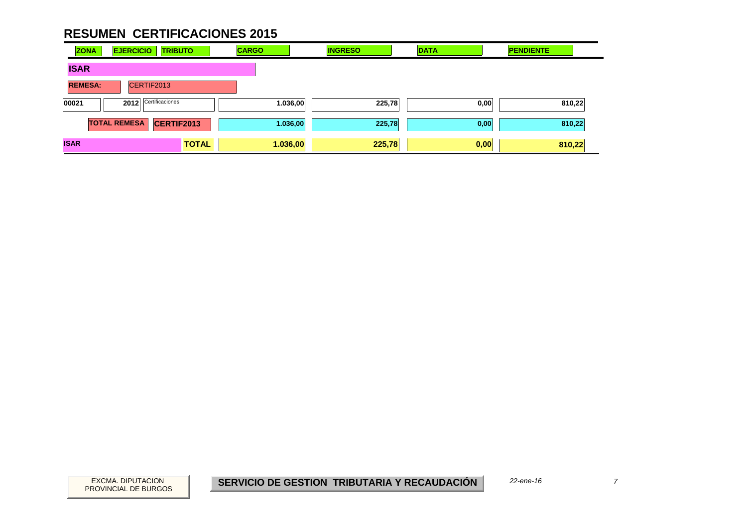| <b>ZONA</b>    | <b>EJERCICIO</b>    | <b>TRIBUTO</b>  | <b>CARGO</b> | <b>INGRESO</b> | <b>DATA</b> | <b>PENDIENTE</b> |        |
|----------------|---------------------|-----------------|--------------|----------------|-------------|------------------|--------|
| <b>ISAR</b>    |                     |                 |              |                |             |                  |        |
| <b>REMESA:</b> | CERTIF2013          |                 |              |                |             |                  |        |
| 00021          | 2012                | Certificaciones | 1.036,00     | 225,78         | 0,00        |                  | 810,22 |
|                | <b>TOTAL REMESA</b> | CERTIF2013      | 1.036,00     | 225,78         | 0,00        |                  | 810,22 |
| <b>ISAR</b>    |                     | <b>TOTAL</b>    | 1.036,00     | 225,78         | 0,00        | 810,22           |        |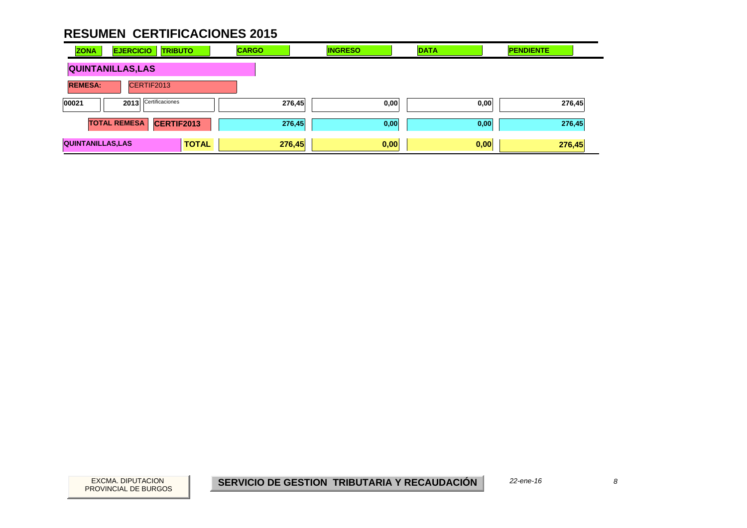| <b>ZONA</b>                  | <b>EJERCICIO</b>    | <b>TRIBUTO</b>  |              | <b>CARGO</b> |        | <b>INGRESO</b> | <b>DATA</b> |      | <b>PENDIENTE</b> |  |
|------------------------------|---------------------|-----------------|--------------|--------------|--------|----------------|-------------|------|------------------|--|
| <b>QUINTANILLAS, LAS</b>     |                     |                 |              |              |        |                |             |      |                  |  |
| CERTIF2013<br><b>REMESA:</b> |                     |                 |              |              |        |                |             |      |                  |  |
| 00021                        | 2013                | Certificaciones |              |              | 276,45 | 0,00           |             | 0,00 | 276,45           |  |
|                              | <b>TOTAL REMESA</b> | CERTIF2013      |              |              | 276,45 | 0,00           |             | 0,00 | 276,45           |  |
| <b>QUINTANILLAS, LAS</b>     |                     |                 | <b>TOTAL</b> |              | 276,45 | 0,00           |             | 0,00 | 276,45           |  |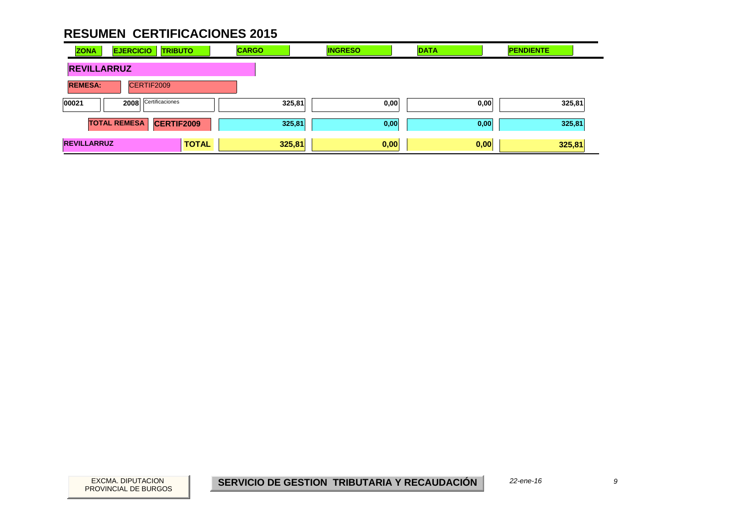| <b>ZONA</b>        | <b>EJERCICIO</b><br><b>TRIBUTO</b>       | <b>CARGO</b> | <b>INGRESO</b> | <b>DATA</b> | <b>PENDIENTE</b> |
|--------------------|------------------------------------------|--------------|----------------|-------------|------------------|
| <b>REVILLARRUZ</b> |                                          |              |                |             |                  |
| <b>REMESA:</b>     | CERTIF2009                               |              |                |             |                  |
| 00021              | Certificaciones<br>2008                  | 325,81       | 0,00           | 0,00        | 325,81           |
|                    | <b>TOTAL REMESA</b><br><b>CERTIF2009</b> | 325,81       | 0,00           | 0,00        | 325,81           |
| <b>REVILLARRUZ</b> | <b>TOTAL</b>                             | 325,81       | 0,00           | 0,00        | 325,81           |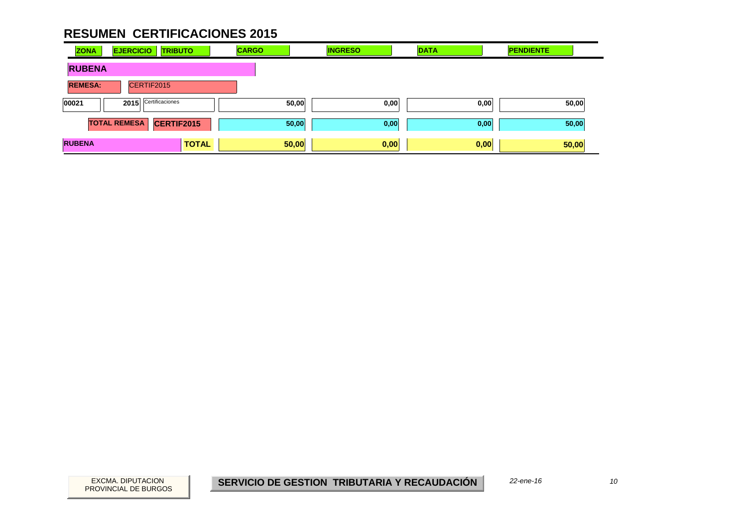| <b>ZONA</b>    | <b>EJERCICIO</b><br><b>TRIBUTO</b> | <b>CARGO</b> | <b>INGRESO</b> | <b>DATA</b> | <b>PENDIENTE</b> |
|----------------|------------------------------------|--------------|----------------|-------------|------------------|
| <b>RUBENA</b>  |                                    |              |                |             |                  |
| <b>REMESA:</b> | CERTIF2015                         |              |                |             |                  |
| 00021          | Certificaciones<br>2015            | 50,00        | 0,00           | 0,00        | 50,00            |
|                | <b>TOTAL REMESA</b><br>CERTIF2015  | 50,00        | 0,00           | 0,00        | 50,00            |
| <b>RUBENA</b>  | <b>TOTAL</b>                       | 50,00        | 0,00           | 0,00        | 50,00            |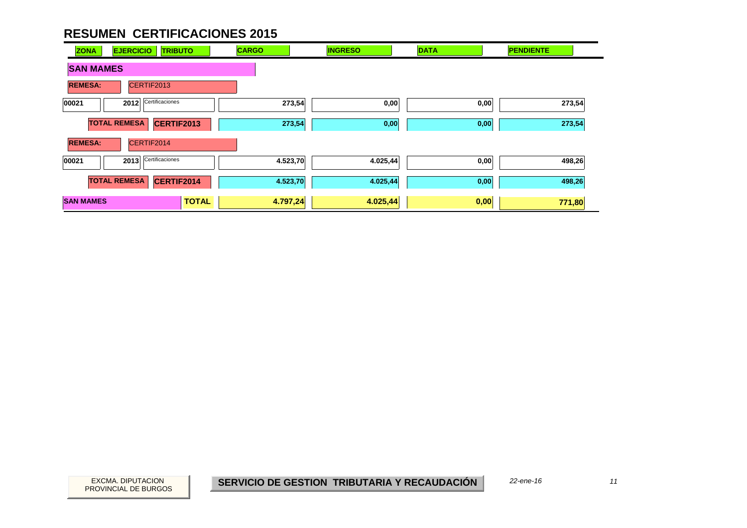| <b>ZONA</b>      | <b>EJERCICIO</b><br><b>TRIBUTO</b>       | <b>CARGO</b> | <b>INGRESO</b> | <b>DATA</b> | <b>PENDIENTE</b> |  |  |  |  |  |
|------------------|------------------------------------------|--------------|----------------|-------------|------------------|--|--|--|--|--|
|                  | <b>SAN MAMES</b>                         |              |                |             |                  |  |  |  |  |  |
| <b>REMESA:</b>   | CERTIF2013                               |              |                |             |                  |  |  |  |  |  |
| 00021            | Certificaciones<br>2012                  | 273,54       | 0,00           | 0,00        | 273,54           |  |  |  |  |  |
|                  | <b>TOTAL REMESA</b><br><b>CERTIF2013</b> | 273,54       | 0,00           | 0,00        | 273,54           |  |  |  |  |  |
| <b>REMESA:</b>   | CERTIF2014                               |              |                |             |                  |  |  |  |  |  |
| 00021            | Certificaciones<br>2013                  | 4.523,70     | 4.025,44       | 0,00        | 498,26           |  |  |  |  |  |
|                  | <b>TOTAL REMESA</b><br>CERTIF2014        | 4.523,70     | 4.025,44       | 0,00        | 498,26           |  |  |  |  |  |
| <b>SAN MAMES</b> | <b>TOTAL</b>                             | 4.797,24     | 4.025,44       | 0,00        | 771,80           |  |  |  |  |  |

PROVINCIAL DE BURGOS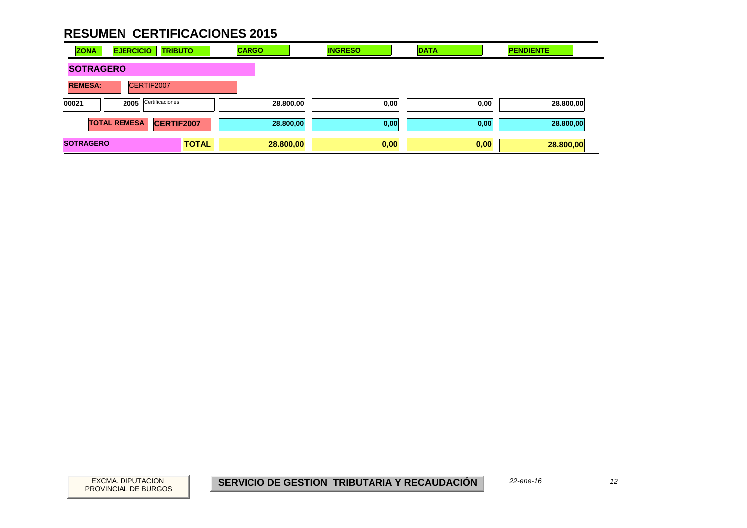| <b>ZONA</b>      | <b>EJERCICIO</b>    | <b>TRIBUTO</b>  | <b>CARGO</b> | <b>INGRESO</b>    | <b>DATA</b> | <b>PENDIENTE</b> |
|------------------|---------------------|-----------------|--------------|-------------------|-------------|------------------|
| <b>SOTRAGERO</b> |                     |                 |              |                   |             |                  |
| <b>REMESA:</b>   |                     | CERTIF2007      |              |                   |             |                  |
| 00021            | 2005                | Certificaciones |              | 28.800,00<br>0,00 | 0,00        | 28.800,00        |
|                  | <b>TOTAL REMESA</b> | CERTIF2007      |              | 28.800,00<br>0,00 | 0,00        | 28.800,00        |
| <b>SOTRAGERO</b> |                     | <b>TOTAL</b>    | 28.800,00    | 0,00              | 0,00        | 28.800,00        |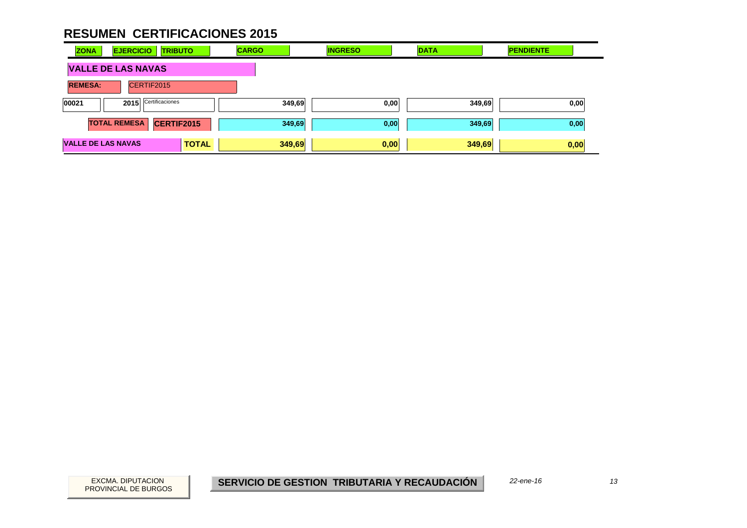| <b>ZONA</b>               | <b>EJERCICIO</b><br><b>TRIBUTO</b> |              | <b>CARGO</b> | <b>INGRESO</b> | <b>DATA</b> | <b>PENDIENTE</b> |
|---------------------------|------------------------------------|--------------|--------------|----------------|-------------|------------------|
| <b>VALLE DE LAS NAVAS</b> |                                    |              |              |                |             |                  |
| <b>REMESA:</b>            | CERTIF2015                         |              |              |                |             |                  |
| 00021                     | Certificaciones<br>2015            |              | 349,69       | 0,00           | 349,69      | 0,00             |
|                           | <b>TOTAL REMESA</b><br>CERTIF2015  |              | 349,69       | 0,00           | 349,69      | 0,00             |
| <b>VALLE DE LAS NAVAS</b> |                                    | <b>TOTAL</b> | 349,69       | 0,00           | 349,69      | 0,00             |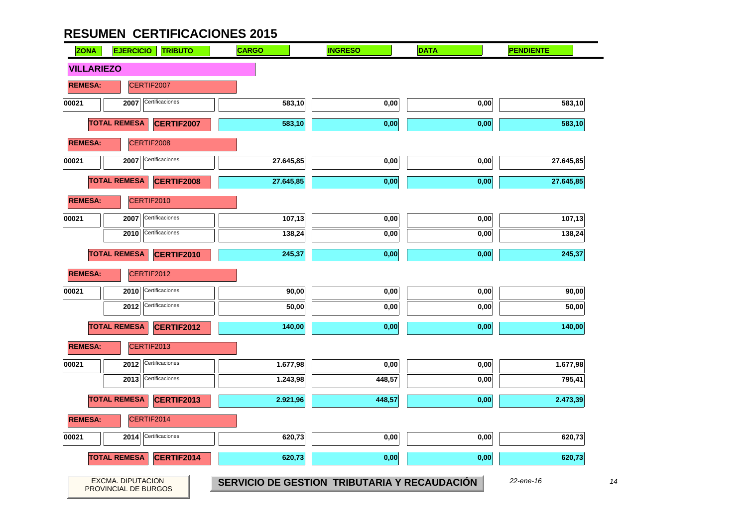

 $14$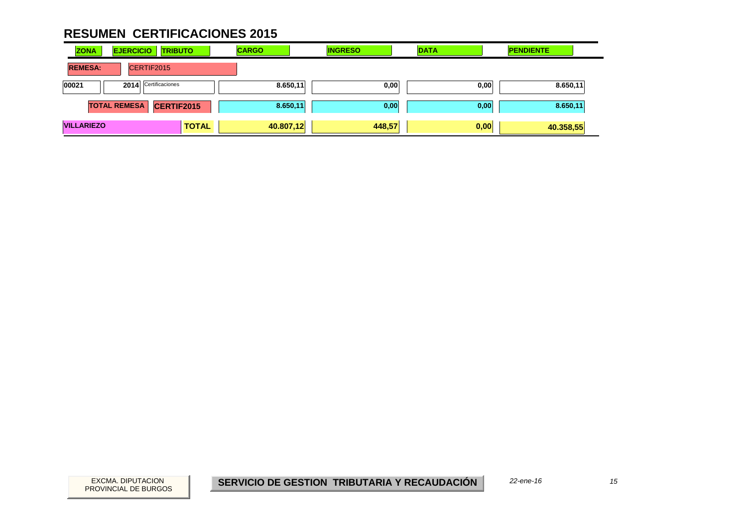| <b>ZONA</b><br><b>EJERCICIO</b><br><b>TRIBUTO</b> |              | <b>CARGO</b> | <b>INGRESO</b> | <b>DATA</b> | <b>PENDIENTE</b> |
|---------------------------------------------------|--------------|--------------|----------------|-------------|------------------|
| CERTIF2015<br><b>REMESA:</b>                      |              |              |                |             |                  |
| 2014 Certificaciones<br>00021                     |              | 8.650,11     | 0,00           | 0,00        | 8.650,11         |
| <b>TOTAL REMESA</b><br><b>CERTIF2015</b>          |              | 8.650,11     | 0,00           | 0,00        | 8.650,11         |
| <b>VILLARIEZO</b>                                 | <b>TOTAL</b> | 40.807,12    | 448,57         | 0,00        | 40.358,55        |

 $15$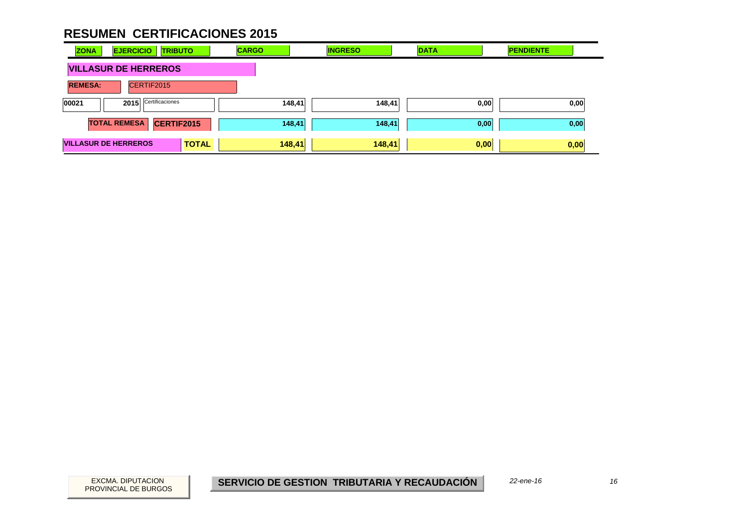| <b>ZONA</b>                 | <b>EJERCICIO</b><br><b>TRIBUTO</b> |              | <b>CARGO</b> | <b>INGRESO</b> | <b>DATA</b> | <b>PENDIENTE</b> |
|-----------------------------|------------------------------------|--------------|--------------|----------------|-------------|------------------|
|                             | <b>VILLASUR DE HERREROS</b>        |              |              |                |             |                  |
| <b>REMESA:</b>              | CERTIF2015                         |              |              |                |             |                  |
| 00021                       | Certificaciones<br>2015            |              | 148,41       | 148,41         | 0,00        | 0,00             |
|                             | <b>TOTAL REMESA</b><br>CERTIF2015  |              | 148,41       | 148,41         | 0,00        | 0,00             |
| <b>VILLASUR DE HERREROS</b> |                                    | <b>TOTAL</b> | 148,41       | 148,41         | 0,00        | 0,00             |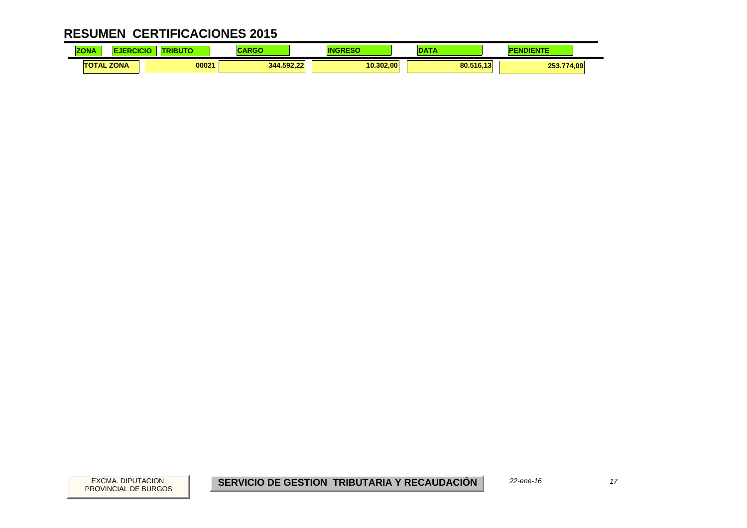| <b>ALLA</b><br><b>ZONA</b> | CICK | .     |            |           | $\sim$    | <b>JDIENTE</b> |
|----------------------------|------|-------|------------|-----------|-----------|----------------|
| <b>TOTAL ZONA</b>          |      | 00021 | 344.592.22 | 10.302.00 | 80.516,13 | 253.774,09     |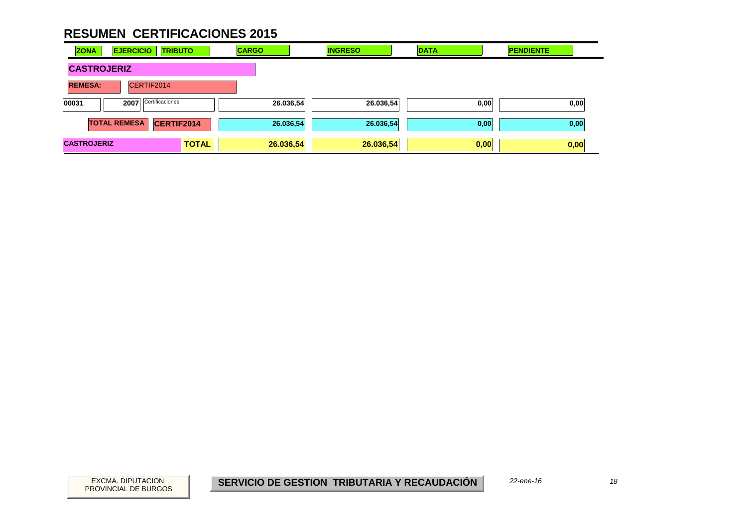| <b>ZONA</b>                  | <b>EJERCICIO</b><br><b>TRIBUTO</b> |              | <b>CARGO</b> | <b>INGRESO</b> | <b>DATA</b> | <b>PENDIENTE</b> |
|------------------------------|------------------------------------|--------------|--------------|----------------|-------------|------------------|
| <b>CASTROJERIZ</b>           |                                    |              |              |                |             |                  |
| <b>REMESA:</b><br>CERTIF2014 |                                    |              |              |                |             |                  |
| 00031                        | Certificaciones<br>2007            |              | 26.036,54    | 26.036,54      | 0,00        | 0,00             |
|                              | <b>TOTAL REMESA</b><br>CERTIF2014  |              | 26.036,54    | 26.036,54      | 0,00        | 0,00             |
| <b>CASTROJERIZ</b>           |                                    | <b>TOTAL</b> | 26.036,54    | 26.036,54      | 0,00        | 0,00             |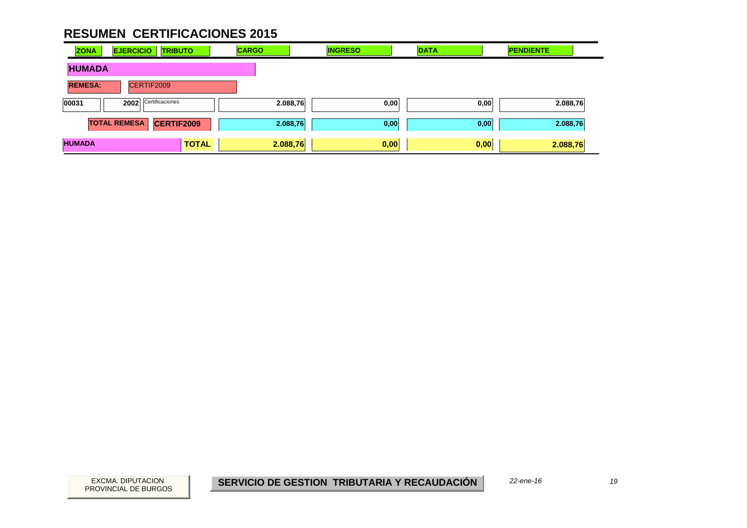| <b>ZONA</b>    | <b>EJERCICIO</b>    | <b>TRIBUTO</b>    | <b>CARGO</b> | <b>INGRESO</b> | <b>DATA</b> | <b>PENDIENTE</b> |
|----------------|---------------------|-------------------|--------------|----------------|-------------|------------------|
| <b>HUMADA</b>  |                     |                   |              |                |             |                  |
| <b>REMESA:</b> | CERTIF2009          |                   |              |                |             |                  |
| 00031          | 2002                | Certificaciones   | 2.088,76     | 0,00           | 0,00        | 2.088,76         |
|                | <b>TOTAL REMESA</b> | <b>CERTIF2009</b> | 2.088,76     | 0,00           | 0,00        | 2.088,76         |
| <b>HUMADA</b>  |                     | <b>TOTAL</b>      | 2.088,76     | 0,00           | 0,00        | 2.088,76         |

19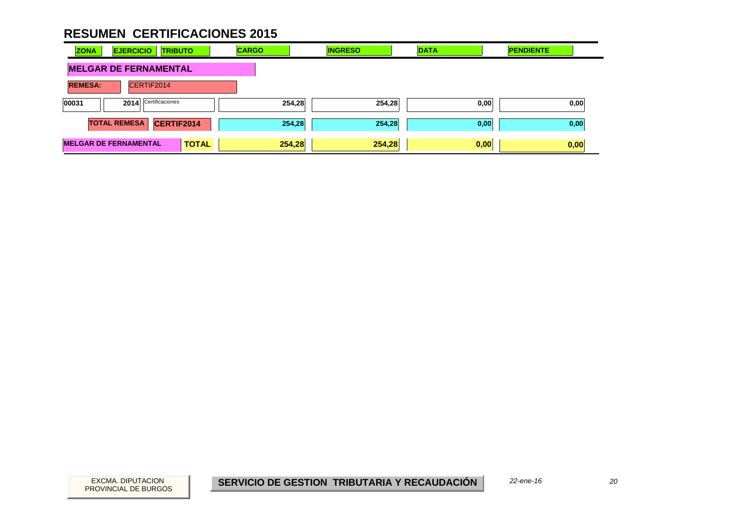| <b>EJERCICIO</b><br><b>ZONA</b><br><b>TRIBUTO</b> | <b>CARGO</b> | <b>INGRESO</b> | <b>DATA</b> | <b>PENDIENTE</b> |
|---------------------------------------------------|--------------|----------------|-------------|------------------|
| <b>MELGAR DE FERNAMENTAL</b>                      |              |                |             |                  |
| <b>REMESA:</b><br>CERTIF2014                      |              |                |             |                  |
| 2014 Certificaciones<br>00031                     | 254,28       | 254,28         | 0,00        | 0,00             |
| <b>TOTAL REMESA</b><br>CERTIF2014                 | 254,28       | 254,28         | 0,00        | 0,00             |
| <b>MELGAR DE FERNAMENTAL</b><br><b>TOTAL</b>      | 254,28       | 254,28         | 0,00        | 0,00             |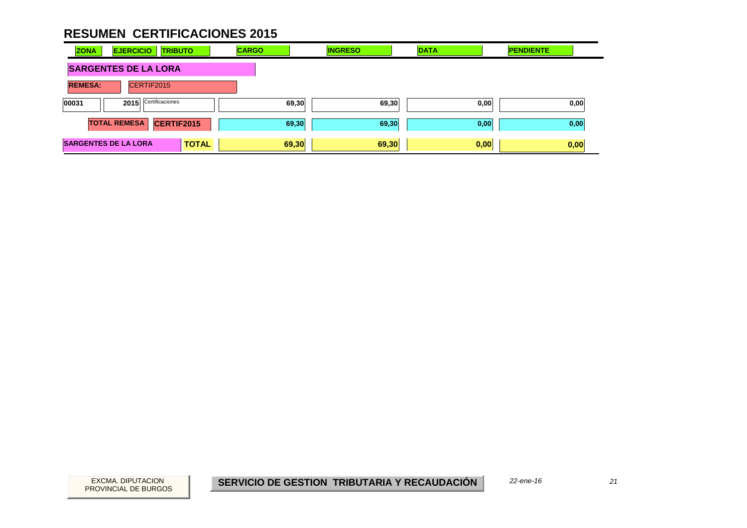| <b>ZONA</b>    | <b>EJERCICIO</b><br><b>TRIBUTO</b> |              | <b>CARGO</b> | <b>INGRESO</b> | <b>DATA</b> | <b>PENDIENTE</b> |  |
|----------------|------------------------------------|--------------|--------------|----------------|-------------|------------------|--|
|                | <b>SARGENTES DE LA LORA</b>        |              |              |                |             |                  |  |
| <b>REMESA:</b> | CERTIF2015                         |              |              |                |             |                  |  |
| 00031          | Certificaciones<br>2015            |              | 69,30        | 69,30          | 0,00        | 0,00             |  |
|                | <b>TOTAL REMESA</b><br>CERTIF2015  |              | 69,30        | 69,30          | 0,00        | 0,00             |  |
|                | <b>SARGENTES DE LA LORA</b>        | <b>TOTAL</b> | 69,30        | 69,30          | 0,00        | 0,00             |  |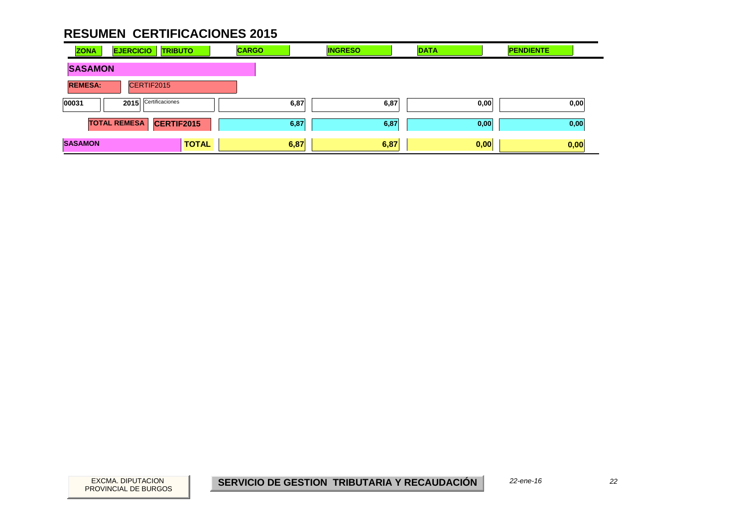| <b>ZONA</b>    | <b>EJERCICIO</b><br><b>TRIBUTO</b> | <b>CARGO</b> | <b>INGRESO</b> | <b>DATA</b> | <b>PENDIENTE</b> |
|----------------|------------------------------------|--------------|----------------|-------------|------------------|
| <b>SASAMON</b> |                                    |              |                |             |                  |
| <b>REMESA:</b> | CERTIF2015                         |              |                |             |                  |
| 00031          | 2015 Certificaciones               | 6,87         | 6,87           | 0,00        | 0,00             |
|                | CERTIF2015<br><b>TOTAL REMESA</b>  | 6,87         | 6,87           | 0,00        | 0,00             |
| <b>SASAMON</b> | <b>TOTAL</b>                       | 6,87         | 6,87           | 0,00        | 0,00             |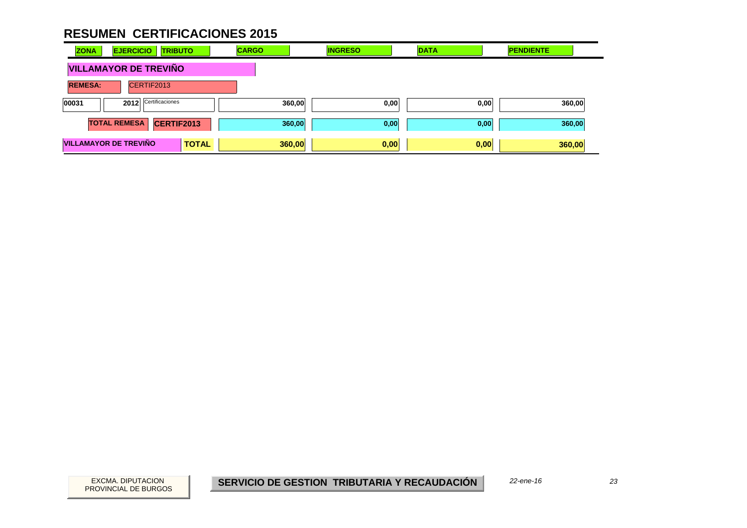| <b>ZONA</b>    | <b>EJERCICIO</b><br><b>TRIBUTO</b>           | <b>CARGO</b> | <b>INGRESO</b> | <b>DATA</b> | <b>PENDIENTE</b> |
|----------------|----------------------------------------------|--------------|----------------|-------------|------------------|
|                | <b>VILLAMAYOR DE TREVIÑO</b>                 |              |                |             |                  |
| <b>REMESA:</b> | CERTIF2013                                   |              |                |             |                  |
| 00031          | Certificaciones<br>2012                      | 360,00       | 0,00           | 0,00        | 360,00           |
|                | CERTIF2013<br><b>TOTAL REMESA</b>            | 360,00       | 0,00           | 0,00        | 360,00           |
|                | <b>VILLAMAYOR DE TREVIÑO</b><br><b>TOTAL</b> | 360,00       | 0,00           | 0,00        | 360,00           |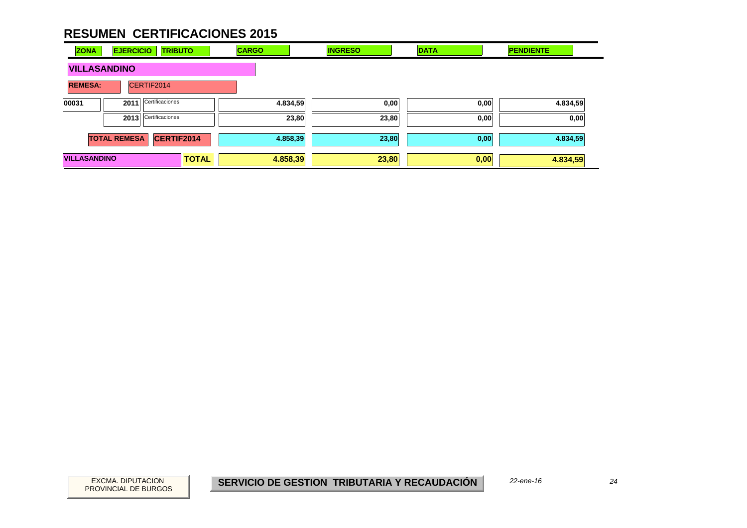| <b>ZONA</b>         | <b>EJERCICIO</b>    | <b>TRIBUTO</b>       |              | <b>CARGO</b> | <b>INGRESO</b> |       | <b>DATA</b> | <b>PENDIENTE</b> |      |
|---------------------|---------------------|----------------------|--------------|--------------|----------------|-------|-------------|------------------|------|
| <b>VILLASANDINO</b> |                     |                      |              |              |                |       |             |                  |      |
| <b>REMESA:</b>      |                     | CERTIF2014           |              |              |                |       |             |                  |      |
| 00031               | 2011                | Certificaciones      |              |              | 4.834,59       | 0,00  | 0,00        | 4.834,59         |      |
|                     |                     | 2013 Certificaciones |              |              | 23,80          | 23,80 | 0,00        |                  | 0,00 |
|                     | <b>TOTAL REMESA</b> | CERTIF2014           |              |              | 4.858,39       | 23,80 | 0,00        | 4.834,59         |      |
| <b>VILLASANDINO</b> |                     |                      | <b>TOTAL</b> | 4.858,39     |                | 23,80 | 0,00        | 4.834,59         |      |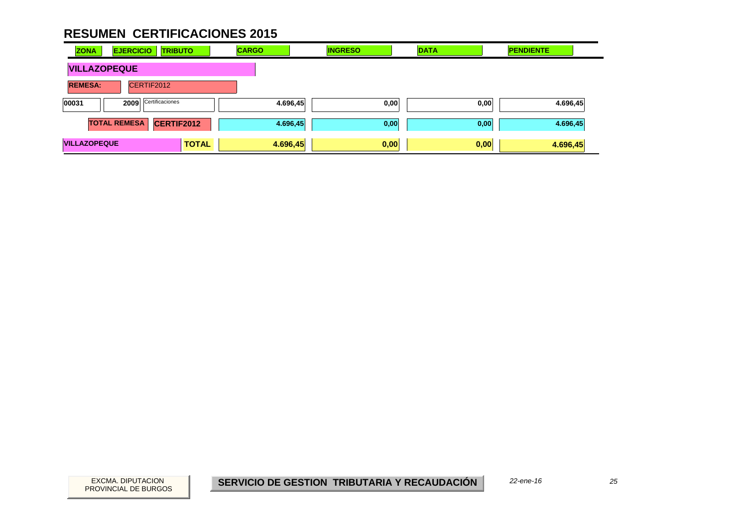| <b>ZONA</b>         | <b>EJERCICIO</b><br><b>TRIBUTO</b> |              | <b>CARGO</b> | <b>INGRESO</b> | <b>DATA</b> | <b>PENDIENTE</b> |
|---------------------|------------------------------------|--------------|--------------|----------------|-------------|------------------|
| <b>VILLAZOPEQUE</b> |                                    |              |              |                |             |                  |
| <b>REMESA:</b>      | CERTIF2012                         |              |              |                |             |                  |
| 00031               | Certificaciones<br>2009            |              | 4.696,45     | 0,00           | 0,00        | 4.696,45         |
|                     | <b>TOTAL REMESA</b><br>CERTIF2012  |              | 4.696,45     | 0,00           | 0,00        | 4.696,45         |
| <b>VILLAZOPEQUE</b> |                                    | <b>TOTAL</b> | 4.696,45     | 0,00           | 0,00        | 4.696,45         |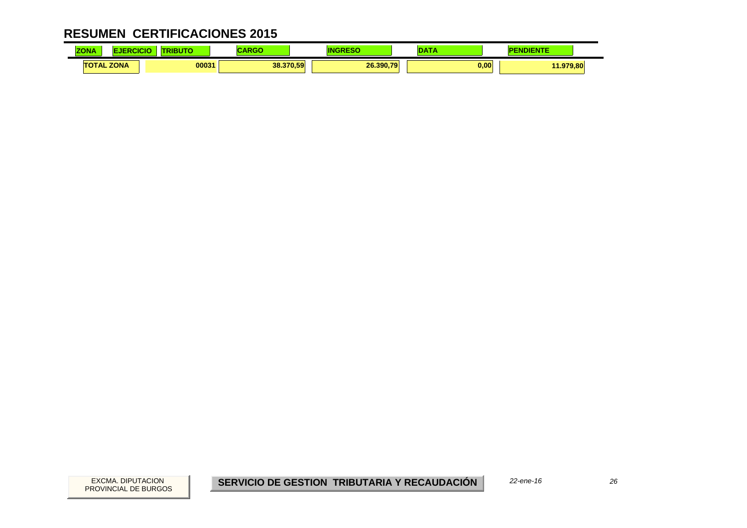| <b>ZONA</b> |                   | .     | ADAC<br>arvov | IN        | ---  | <b>IENTE</b> |  |
|-------------|-------------------|-------|---------------|-----------|------|--------------|--|
|             | <b>TOTAL ZONA</b> | 00031 | 38.370,59     | 26.390.79 | 0,00 | 11.979,80    |  |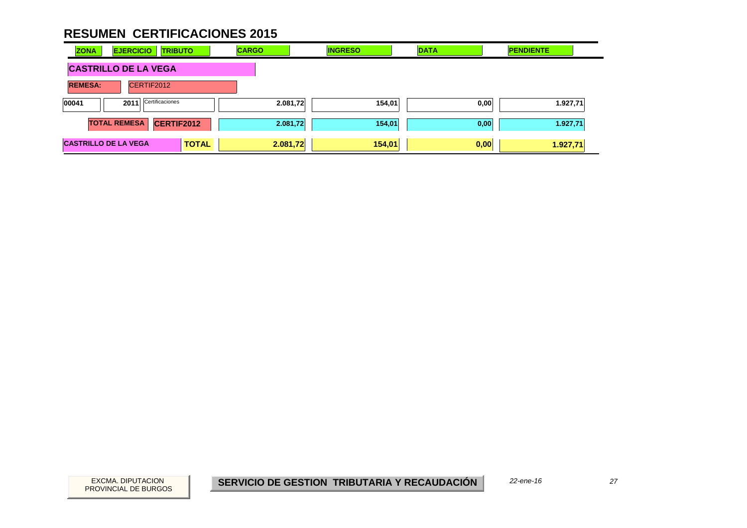| <b>ZONA</b>                 | <b>EJERCICIO</b>        | <b>TRIBUTO</b> | <b>CARGO</b> | <b>INGRESO</b> | <b>DATA</b> | <b>PENDIENTE</b> |
|-----------------------------|-------------------------|----------------|--------------|----------------|-------------|------------------|
| <b>CASTRILLO DE LA VEGA</b> |                         |                |              |                |             |                  |
| <b>REMESA:</b>              | CERTIF2012              |                |              |                |             |                  |
| 00041                       | Certificaciones<br>2011 |                | 2.081,72     | 154,01         | 0,00        | 1.927,71         |
|                             | <b>TOTAL REMESA</b>     | CERTIF2012     | 2.081,72     | 154,01         | 0,00        | 1.927,71         |
| <b>CASTRILLO DE LA VEGA</b> |                         | <b>TOTAL</b>   | 2.081,72     | 154,01         | 0,00        | 1.927,71         |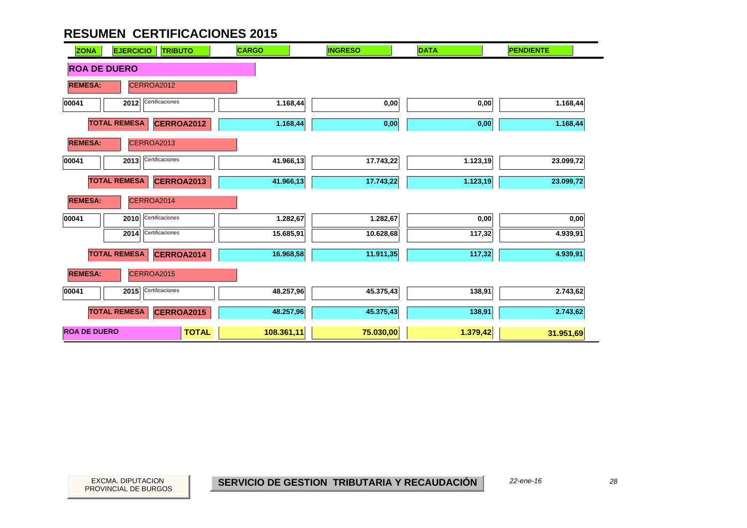| <b>EJERCICIO</b><br><b>TRIBUTO</b><br><b>ZONA</b> | <b>CARGO</b> | <b>INGRESO</b> | <b>DATA</b> | <b>PENDIENTE</b> |
|---------------------------------------------------|--------------|----------------|-------------|------------------|
| <b>ROA DE DUERO</b>                               |              |                |             |                  |
| <b>REMESA:</b><br>CERROA2012                      |              |                |             |                  |
| Certificaciones<br>00041<br>2012                  | 1.168,44     | 0,00           | 0,00        | 1.168,44         |
| <b>TOTAL REMESA</b><br><b>CERROA2012</b>          | 1.168,44     | 0,00           | 0,00        | 1.168,44         |
| CERROA2013<br><b>REMESA:</b>                      |              |                |             |                  |
| Certificaciones<br>00041<br>2013                  | 41.966,13    | 17.743,22      | 1.123,19    | 23.099,72        |
| <b>TOTAL REMESA</b><br>CERROA2013                 | 41.966,13    | 17.743,22      | 1.123, 19   | 23.099,72        |
| <b>REMESA:</b><br>CERROA2014                      |              |                |             |                  |
| Certificaciones<br>00041<br>2010                  | 1.282,67     | 1.282,67       | 0,00        | 0,00             |
| Certificaciones<br>2014                           | 15.685,91    | 10.628,68      | 117,32      | 4.939,91         |
| <b>TOTAL REMESA</b><br>CERROA2014                 | 16.968,58    | 11.911,35      | 117,32      | 4.939,91         |
| <b>REMESA:</b><br>CERROA2015                      |              |                |             |                  |
| Certificaciones<br>2015<br>00041                  | 48.257,96    | 45.375,43      | 138,91      | 2.743,62         |
| <b>TOTAL REMESA</b><br>CERROA2015                 | 48.257,96    | 45.375,43      | 138,91      | 2.743,62         |
| <b>ROA DE DUERO</b><br><b>TOTAL</b>               | 108.361,11   | 75.030,00      | 1.379,42    | 31.951,69        |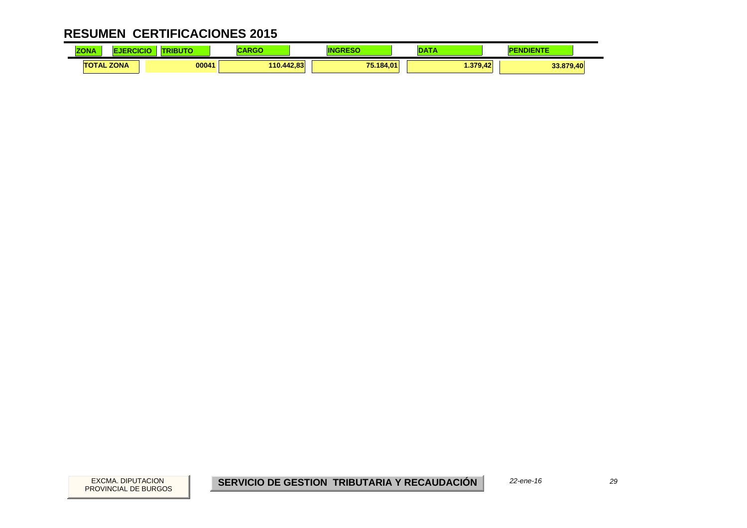| <b>COLOR</b><br><b>ZONA</b> |      | ---<br>юю<br>3 U | ---<br>سم  |                  |              | <b>IENTE</b> |  |
|-----------------------------|------|------------------|------------|------------------|--------------|--------------|--|
| <b>TOTAL</b>                | ZONA | 00041            | 110.442.83 | 75.184.01<br>. . | .379<br>9.42 | 33.879,40    |  |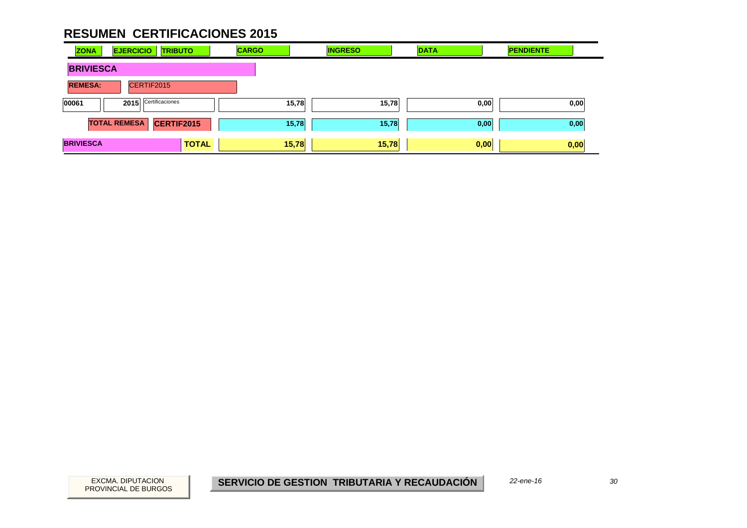| <b>ZONA</b>      | <b>EJERCICIO</b>    | <b>TRIBUTO</b>  | <b>CARGO</b> | <b>INGRESO</b> | <b>DATA</b> |      | <b>PENDIENTE</b> |      |
|------------------|---------------------|-----------------|--------------|----------------|-------------|------|------------------|------|
| <b>BRIVIESCA</b> |                     |                 |              |                |             |      |                  |      |
| <b>REMESA:</b>   | CERTIF2015          |                 |              |                |             |      |                  |      |
| 00061            | 2015                | Certificaciones |              | 15,78          | 15,78       | 0,00 |                  | 0,00 |
|                  | <b>TOTAL REMESA</b> | CERTIF2015      |              | 15,78          | 15,78       | 0,00 |                  | 0,00 |
| <b>BRIVIESCA</b> |                     | <b>TOTAL</b>    |              | 15,78          | 15,78       | 0,00 |                  | 0,00 |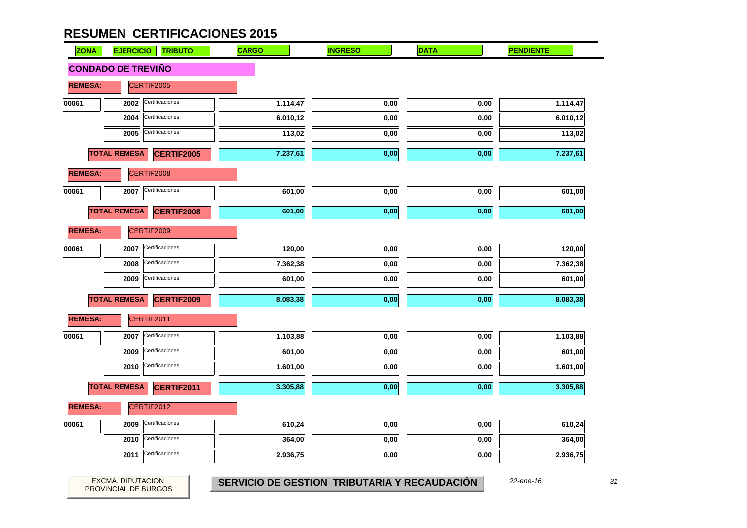| <b>ZONA</b>    | <b>EJERCICIO</b>          | <b>TRIBUTO</b>    | <b>CARGO</b> | <b>INGRESO</b> | <b>DATA</b> | <b>PENDIENTE</b> |
|----------------|---------------------------|-------------------|--------------|----------------|-------------|------------------|
|                | <b>CONDADO DE TREVIÑO</b> |                   |              |                |             |                  |
| <b>REMESA:</b> |                           | CERTIF2005        |              |                |             |                  |
| 00061          | 2002                      | Certificaciones   | 1.114,47     | 0,00           | 0,00        | 1.114,47         |
|                | 2004                      | Certificaciones   | 6.010,12     | 0,00           | 0,00        | 6.010,12         |
|                | 2005                      | Certificaciones   | 113,02       | 0,00           | 0,00        | 113,02           |
|                | <b>TOTAL REMESA</b>       | <b>CERTIF2005</b> | 7.237,61     | 0,00           | 0,00        | 7.237,61         |
| <b>REMESA:</b> |                           | CERTIF2008        |              |                |             |                  |
| 00061          | 2007                      | Certificaciones   | 601,00       | 0,00           | 0,00        | 601,00           |
|                | <b>TOTAL REMESA</b>       | CERTIF2008        | 601,00       | 0,00           | 0,00        | 601,00           |
| <b>REMESA:</b> |                           | CERTIF2009        |              |                |             |                  |
| 00061          | 2007                      | Certificaciones   | 120,00       | 0,00           | 0,00        | 120,00           |
|                | 2008                      | Certificaciones   | 7.362,38     | 0,00           | 0,00        | 7.362,38         |
|                | 2009                      | Certificaciones   | 601,00       | 0,00           | 0,00        | 601,00           |
|                | <b>TOTAL REMESA</b>       | CERTIF2009        | 8.083,38     | 0,00           | 0,00        | 8.083,38         |
| <b>REMESA:</b> |                           | CERTIF2011        |              |                |             |                  |
| 00061          | 2007                      | Certificaciones   | 1.103,88     | 0,00           | 0,00        | 1.103,88         |
|                | 2009                      | Certificaciones   | 601,00       | 0,00           | 0,00        | 601,00           |
|                | 2010                      | Certificaciones   | 1.601,00     | 0,00           | 0,00        | 1.601,00         |
|                | <b>TOTAL REMESA</b>       | <b>CERTIF2011</b> | 3.305,88     | 0,00           | 0,00        | 3.305,88         |
| <b>REMESA:</b> |                           | CERTIF2012        |              |                |             |                  |
| 00061          | 2009                      | Certificaciones   | 610,24       | 0,00           | 0,00        | 610,24           |
|                | 2010                      | Certificaciones   | 364,00       | 0,00           | 0,00        | 364,00           |
|                | 2011                      | Certificaciones   | 2.936,75     | 0,00           | 0,00        | 2.936,75         |

 $31$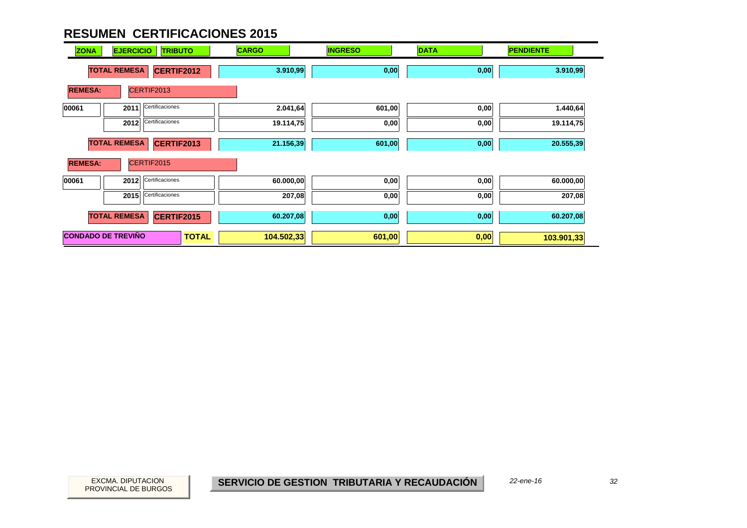| <b>ZONA</b>    | <b>EJERCICIO</b>          | <b>TRIBUTO</b>  | <b>CARGO</b> | <b>INGRESO</b> | <b>DATA</b> | <b>PENDIENTE</b> |
|----------------|---------------------------|-----------------|--------------|----------------|-------------|------------------|
|                | <b>TOTAL REMESA</b>       | CERTIF2012      | 3.910,99     | 0,00           | 0,00        | 3.910,99         |
| <b>REMESA:</b> |                           | CERTIF2013      |              |                |             |                  |
| 00061          | 2011                      | Certificaciones | 2.041,64     | 601,00         | 0,00        | 1.440,64         |
|                | 2012                      | Certificaciones | 19.114,75    | 0,00           | 0,00        | 19.114,75        |
|                | <b>TOTAL REMESA</b>       | CERTIF2013      | 21.156,39    | 601,00         | 0,00        | 20.555,39        |
| <b>REMESA:</b> |                           | CERTIF2015      |              |                |             |                  |
| 00061          | 2012                      | Certificaciones | 60.000,00    | 0,00           | 0,00        | 60.000,00        |
|                | 2015                      | Certificaciones | 207,08       | 0,00           | 0,00        | 207,08           |
|                | <b>TOTAL REMESA</b>       | CERTIF2015      | 60.207,08    | 0,00           | 0,00        | 60.207,08        |
|                | <b>CONDADO DE TREVIÑO</b> | <b>TOTAL</b>    | 104.502,33   | 601,00         | 0,00        | 103.901,33       |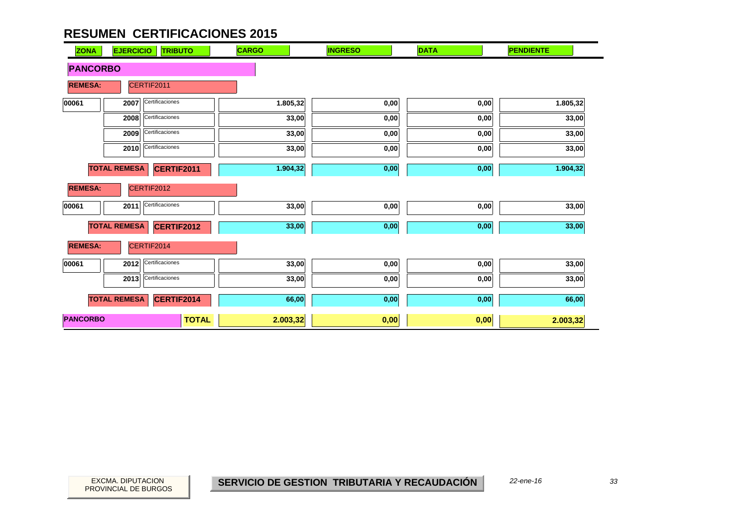| <b>ZONA</b>     | <b>EJERCICIO</b>    | <b>TRIBUTO</b>    | <b>CARGO</b> | <b>INGRESO</b> | <b>DATA</b>       | <b>PENDIENTE</b> |
|-----------------|---------------------|-------------------|--------------|----------------|-------------------|------------------|
|                 | <b>PANCORBO</b>     |                   |              |                |                   |                  |
| <b>REMESA:</b>  |                     | CERTIF2011        |              |                |                   |                  |
| 00061           | 2007                | Certificaciones   | 1.805,32     | 0,00           | 0,00              | 1.805,32         |
|                 | 2008                | Certificaciones   | 33,00        | 0,00           | 0,00              | 33,00            |
|                 | 2009                | Certificaciones   | 33,00        | 0,00           | 0,00              | 33,00            |
|                 | 2010                | Certificaciones   | 33,00        | 0,00           | 0,00              | 33,00            |
|                 | <b>TOTAL REMESA</b> | CERTIF2011        | 1.904,32     | 0,00           | 0,00              | 1.904,32         |
| <b>REMESA:</b>  |                     | CERTIF2012        |              |                |                   |                  |
| 00061           | 2011                | Certificaciones   | 33,00        | 0,00           | 0,00              | 33,00            |
|                 | <b>TOTAL REMESA</b> | <b>CERTIF2012</b> | 33,00        | $0,\!00$       | $\mathbf{0{,}00}$ | 33,00            |
| <b>REMESA:</b>  |                     | CERTIF2014        |              |                |                   |                  |
| 00061           | 2012                | Certificaciones   | 33,00        | 0,00           | 0,00              | 33,00            |
|                 | 2013                | Certificaciones   | 33,00        | 0,00           | 0,00              | 33,00            |
|                 | <b>TOTAL REMESA</b> | CERTIF2014        | 66,00        | 0,00           | 0,00              | 66,00            |
| <b>PANCORBO</b> |                     | <b>TOTAL</b>      | 2.003,32     | 0,00           | 0,00              | 2.003,32         |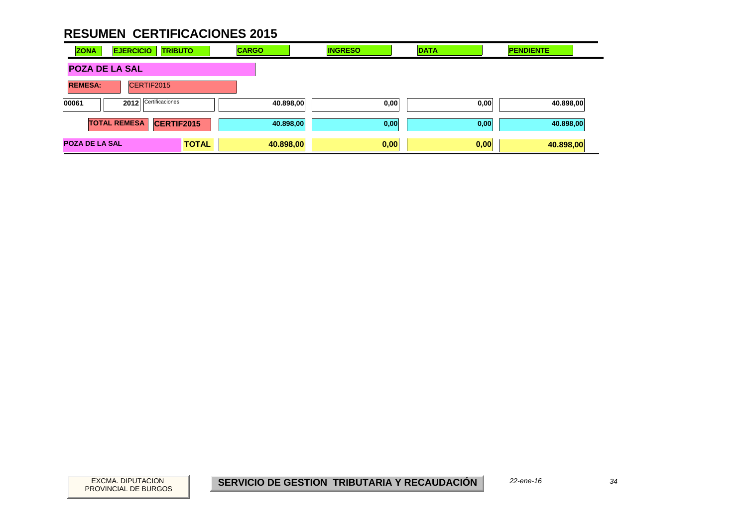| <b>ZONA</b>                      | <b>EJERCICIO</b><br><b>TRIBUTO</b> |              | <b>CARGO</b> | <b>INGRESO</b> | <b>DATA</b> | <b>PENDIENTE</b> |
|----------------------------------|------------------------------------|--------------|--------------|----------------|-------------|------------------|
| <b>POZA DE LA SAL</b>            |                                    |              |              |                |             |                  |
| <b>REMESA:</b><br>CERTIF2015     |                                    |              |              |                |             |                  |
| Certificaciones<br>00061<br>2012 |                                    | 40.898,00    | 0,00         | 0,00           | 40.898,00   |                  |
|                                  | <b>TOTAL REMESA</b>                | CERTIF2015   | 40.898,00    | 0,00           | 0,00        | 40.898,00        |
| <b>POZA DE LA SAL</b>            |                                    | <b>TOTAL</b> | 40.898,00    | 0,00           | 0,00        | 40.898,00        |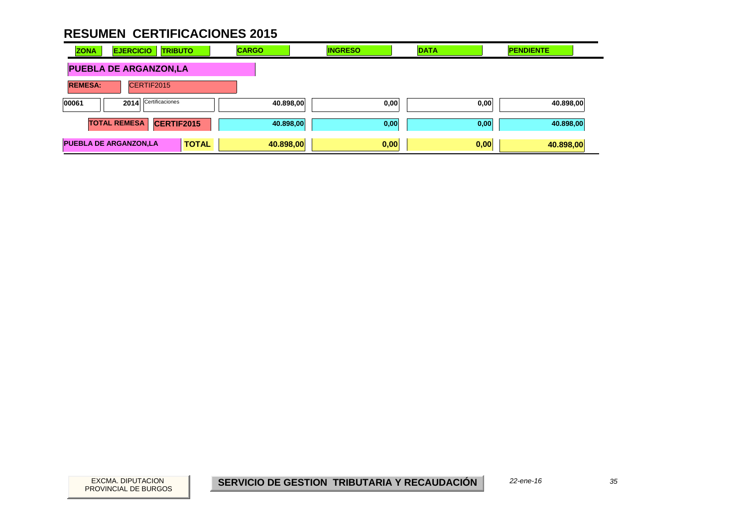| <b>ZONA</b>    | <b>EJERCICIO</b><br><b>TRIBUTO</b> | <b>CARGO</b>              | <b>INGRESO</b> | <b>DATA</b> | <b>PENDIENTE</b> |
|----------------|------------------------------------|---------------------------|----------------|-------------|------------------|
|                | <b>PUEBLA DE ARGANZON,LA</b>       |                           |                |             |                  |
| <b>REMESA:</b> | CERTIF2015                         |                           |                |             |                  |
| 00061          | Certificaciones<br>2014            | 40.898,00                 | 0,00           | 0,00        | 40.898,00        |
|                | CERTIF2015<br><b>TOTAL REMESA</b>  | 40.898,00                 | 0,00           | 0,00        | 40.898,00        |
|                | <b>PUEBLA DE ARGANZON,LA</b>       | <b>TOTAL</b><br>40.898,00 | 0,00           | 0,00        | 40.898,00        |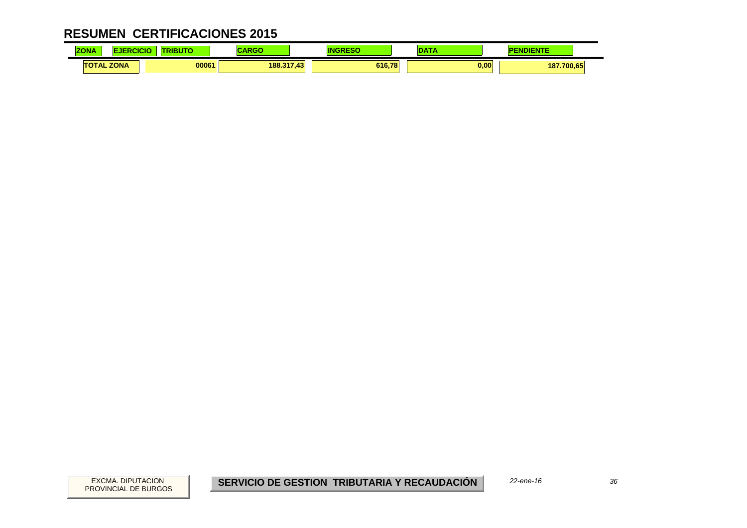| <b>ZONA</b> | cicic             | RIBUTO | $\mathbf{A}$<br>י שו | IN<br>- - - | ---  | NDIENTE    |  |
|-------------|-------------------|--------|----------------------|-------------|------|------------|--|
|             | <b>TOTAL ZONA</b> | 00061  | 188.317,43           | 616.78      | 0,00 | 187.700,65 |  |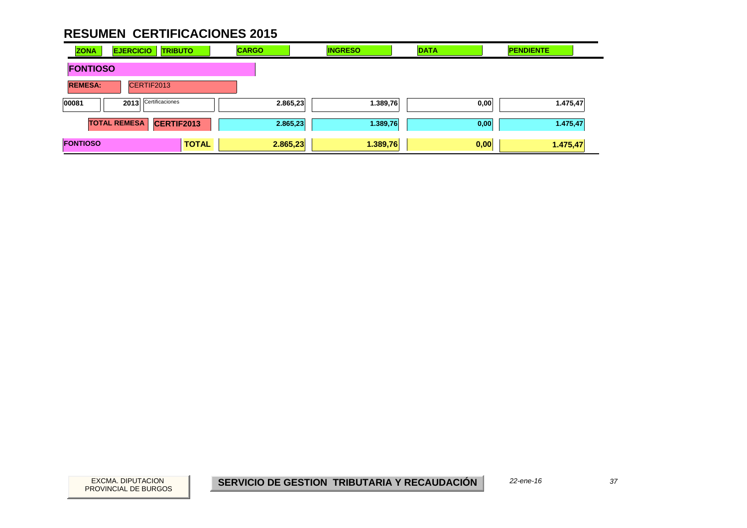| <b>ZONA</b>     | <b>EJERCICIO</b>    | <b>TRIBUTO</b>  |              | <b>CARGO</b> |          | <b>INGRESO</b> | <b>DATA</b> |      | <b>PENDIENTE</b> |  |
|-----------------|---------------------|-----------------|--------------|--------------|----------|----------------|-------------|------|------------------|--|
| <b>FONTIOSO</b> |                     |                 |              |              |          |                |             |      |                  |  |
| <b>REMESA:</b>  | CERTIF2013          |                 |              |              |          |                |             |      |                  |  |
| 00081           | 2013                | Certificaciones |              |              | 2.865,23 | 1.389,76       |             | 0,00 | 1.475,47         |  |
|                 | <b>TOTAL REMESA</b> | CERTIF2013      |              |              | 2.865,23 | 1.389,76       |             | 0,00 | 1.475,47         |  |
| <b>FONTIOSO</b> |                     |                 | <b>TOTAL</b> | 2.865,23     |          | 1.389,76       | 0,00        |      | 1.475,47         |  |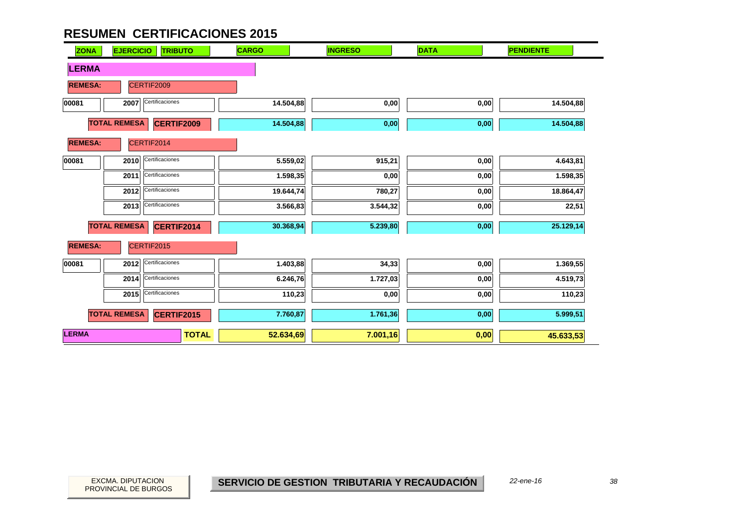| <b>ZONA</b>    | <b>EJERCICIO</b><br><b>TRIBUTO</b>       | <b>CARGO</b>              | <b>INGRESO</b> | <b>DATA</b> | <b>PENDIENTE</b> |
|----------------|------------------------------------------|---------------------------|----------------|-------------|------------------|
| <b>LERMA</b>   |                                          |                           |                |             |                  |
| <b>REMESA:</b> | CERTIF2009                               |                           |                |             |                  |
| 00081          | Certificaciones<br>2007                  | 14.504,88                 | 0,00           | 0,00        | 14.504,88        |
|                | <b>TOTAL REMESA</b><br><b>CERTIF2009</b> | 14.504,88                 | 0,00           | 0,00        | 14.504,88        |
| <b>REMESA:</b> | CERTIF2014                               |                           |                |             |                  |
| 00081          | Certificaciones<br>2010                  | 5.559,02                  | 915,21         | 0,00        | 4.643,81         |
|                | Certificaciones<br>2011                  | 1.598,35                  | 0,00           | 0,00        | 1.598,35         |
|                | Certificaciones<br>2012                  | 19.644,74                 | 780,27         | 0,00        | 18.864,47        |
|                | Certificaciones<br>2013                  | 3.566,83                  | 3.544,32       | 0,00        | 22,51            |
|                | <b>TOTAL REMESA</b><br>CERTIF2014        | 30.368,94                 | 5.239,80       | 0,00        | 25.129,14        |
| <b>REMESA:</b> | CERTIF2015                               |                           |                |             |                  |
| 00081          | Certificaciones<br>2012                  | 1.403,88                  | 34,33          | $0,\!00$    | 1.369,55         |
|                | Certificaciones<br>2014                  | 6.246,76                  | 1.727,03       | 0,00        | 4.519,73         |
|                | Certificaciones<br>2015                  | 110,23                    | 0,00           | 0,00        | 110,23           |
|                | <b>TOTAL REMESA</b><br><b>CERTIF2015</b> | 7.760,87                  | 1.761,36       | 0,00        | 5.999,51         |
| <b>LERMA</b>   |                                          | <b>TOTAL</b><br>52.634,69 | 7.001,16       | 0,00        | 45.633,53        |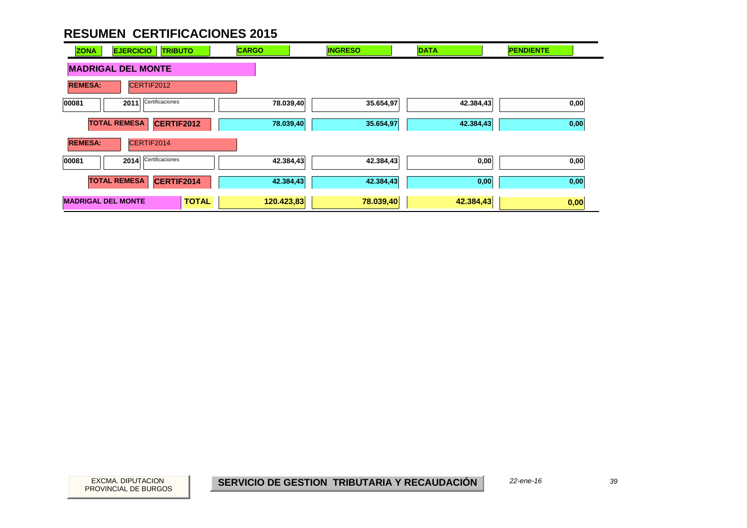| <b>ZONA</b>               | <b>EJERCICIO</b><br><b>TRIBUTO</b> |              | <b>CARGO</b> | <b>INGRESO</b> | <b>DATA</b> | <b>PENDIENTE</b> |
|---------------------------|------------------------------------|--------------|--------------|----------------|-------------|------------------|
|                           | <b>MADRIGAL DEL MONTE</b>          |              |              |                |             |                  |
| <b>REMESA:</b>            | CERTIF2012                         |              |              |                |             |                  |
| 00081                     | Certificaciones<br>2011            |              | 78.039,40    | 35.654,97      | 42.384,43   | 0,00             |
|                           | <b>TOTAL REMESA</b><br>CERTIF2012  |              | 78.039,40    | 35.654,97      | 42.384,43   | 0,00             |
| <b>REMESA:</b>            | CERTIF2014                         |              |              |                |             |                  |
| 00081                     | Certificaciones<br>2014            |              | 42.384,43    | 42.384,43      | 0,00        | 0,00             |
|                           | <b>TOTAL REMESA</b><br>CERTIF2014  |              | 42.384,43    | 42.384,43      | 0,00        | 0,00             |
| <b>MADRIGAL DEL MONTE</b> |                                    | <b>TOTAL</b> | 120.423,83   | 78.039,40      | 42.384,43   | 0,00             |

PROVINCIAL DE BURGOS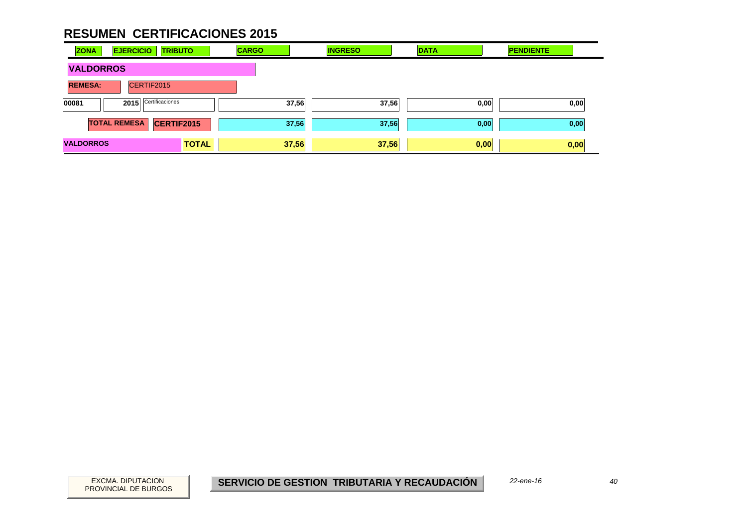| <b>ZONA</b>      | <b>EJERCICIO</b>    | <b>TRIBUTO</b>  | <b>CARGO</b> | <b>INGRESO</b> | <b>DATA</b> |      | <b>PENDIENTE</b> |      |
|------------------|---------------------|-----------------|--------------|----------------|-------------|------|------------------|------|
| <b>VALDORROS</b> |                     |                 |              |                |             |      |                  |      |
| <b>REMESA:</b>   |                     | CERTIF2015      |              |                |             |      |                  |      |
| 00081            | 2015                | Certificaciones |              | 37,56          | 37,56       | 0,00 |                  | 0,00 |
|                  | <b>TOTAL REMESA</b> | CERTIF2015      |              | 37,56          | 37,56       | 0,00 |                  | 0,00 |
| <b>VALDORROS</b> |                     | <b>TOTAL</b>    |              | 37,56          | 37,56       | 0,00 | 0,00             |      |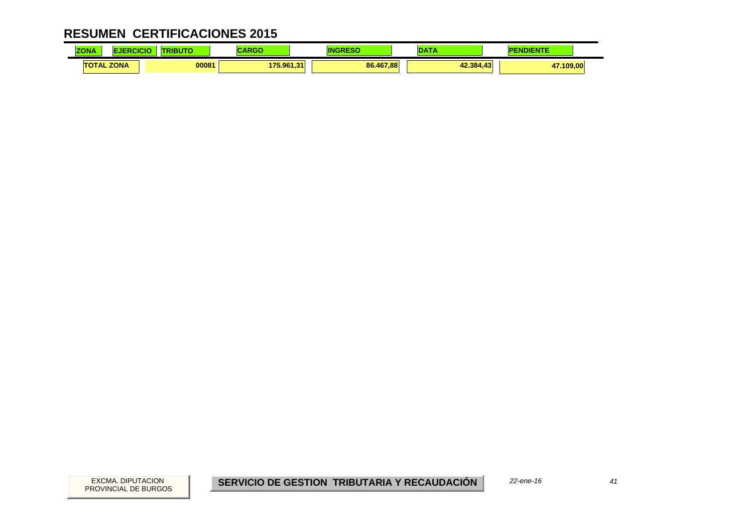| <b>ZONA</b> | NCK.              | BUTO  | .<br>an Ullia | ΙN        |           | <b>NDIENTE</b> |  |
|-------------|-------------------|-------|---------------|-----------|-----------|----------------|--|
|             | <b>TOTAL ZONA</b> | 00081 | 175.961.31    | 86.467.88 | 42.384.43 | 47.109.00      |  |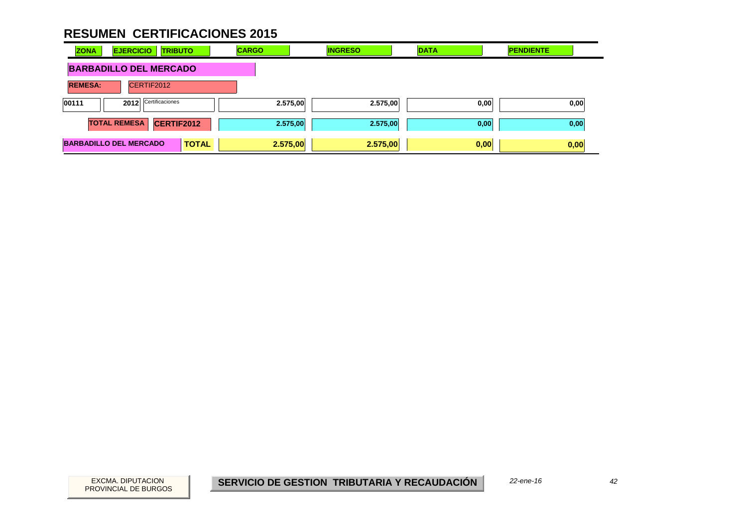| <b>ZONA</b>                   | <b>EJERCICIO</b><br><b>TRIBUTO</b> |              | <b>CARGO</b> | <b>INGRESO</b> | <b>DATA</b> | <b>PENDIENTE</b> |
|-------------------------------|------------------------------------|--------------|--------------|----------------|-------------|------------------|
| <b>BARBADILLO DEL MERCADO</b> |                                    |              |              |                |             |                  |
| <b>REMESA:</b>                | CERTIF2012                         |              |              |                |             |                  |
| 00111                         | Certificaciones<br>2012            |              | 2.575,00     | 2.575,00       | 0,00        | 0,00             |
|                               | <b>TOTAL REMESA</b><br>CERTIF2012  |              | 2.575,00     | 2.575,00       | 0,00        | 0,00             |
|                               | <b>BARBADILLO DEL MERCADO</b>      | <b>TOTAL</b> | 2.575,00     | 2.575,00       | 0,00        | 0,00             |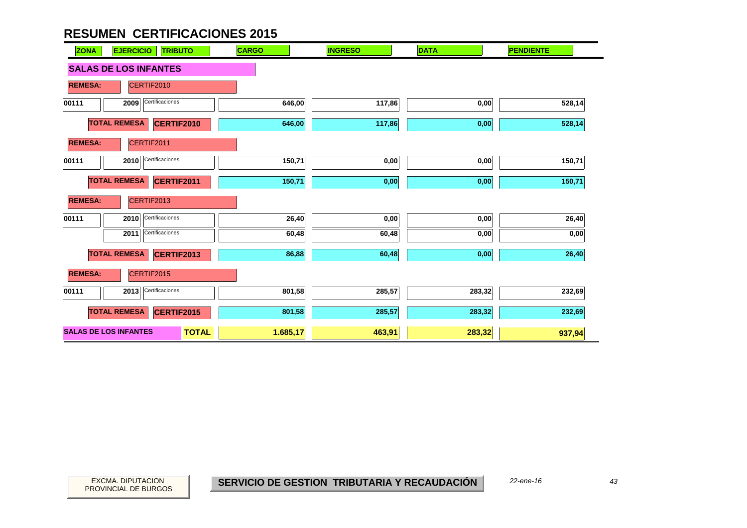| <b>EJERCICIO</b><br><b>ZONA</b><br><b>TRIBUTO</b> | <b>CARGO</b> | <b>INGRESO</b> | <b>DATA</b> | <b>PENDIENTE</b>  |
|---------------------------------------------------|--------------|----------------|-------------|-------------------|
| <b>SALAS DE LOS INFANTES</b>                      |              |                |             |                   |
| <b>REMESA:</b><br>CERTIF2010                      |              |                |             |                   |
| Certificaciones<br>2009<br>00111                  | 646,00       | 117,86         | 0,00        | 528,14            |
| <b>TOTAL REMESA</b><br>CERTIF2010                 | 646,00       | 117,86         | 0,00        | 528,14            |
| <b>REMESA:</b><br>CERTIF2011                      |              |                |             |                   |
| Certificaciones<br>00111<br>2010                  | 150,71       | 0,00           | 0,00        | 150,71            |
| <b>TOTAL REMESA</b><br>CERTIF2011                 | 150,71       | 0,00           | 0,00        | 150,71            |
| <b>REMESA:</b><br>CERTIF2013                      |              |                |             |                   |
| Certificaciones<br>00111<br>2010                  | 26,40        | 0,00           | 0,00        | 26,40             |
| Certificaciones<br>2011                           | 60,48        | 60,48          | 0,00        | $\mathbf{0{,}00}$ |
| <b>TOTAL REMESA</b><br><b>CERTIF2013</b>          | 86,88        | 60,48          | 0,00        | 26,40             |
| <b>REMESA:</b><br>CERTIF2015                      |              |                |             |                   |
| Certificaciones<br>2013<br>00111                  | 801,58       | 285,57         | 283,32      | 232,69            |
| <b>TOTAL REMESA</b><br><b>CERTIF2015</b>          | 801,58       | 285,57         | 283,32      | 232,69            |
| <b>SALAS DE LOS INFANTES</b><br><b>TOTAL</b>      | 1.685,17     | 463,91         | 283,32      | 937,94            |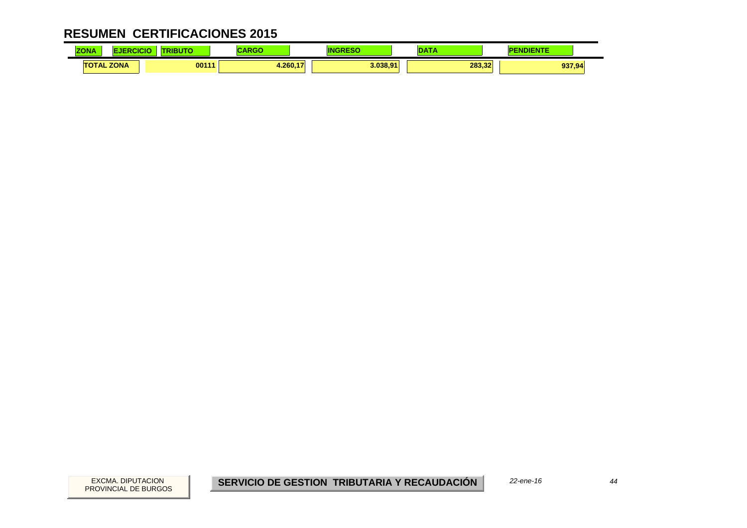| <b>ZONA</b>       | ICK | BUTO  | <b>DOM:</b><br>an Color | ΙN       |        | <b>IENTE</b> |  |
|-------------------|-----|-------|-------------------------|----------|--------|--------------|--|
| <b>TOTAL ZONA</b> |     | 00111 | .260.<br>- - -          | 3.038.91 | 283.32 | 937,94       |  |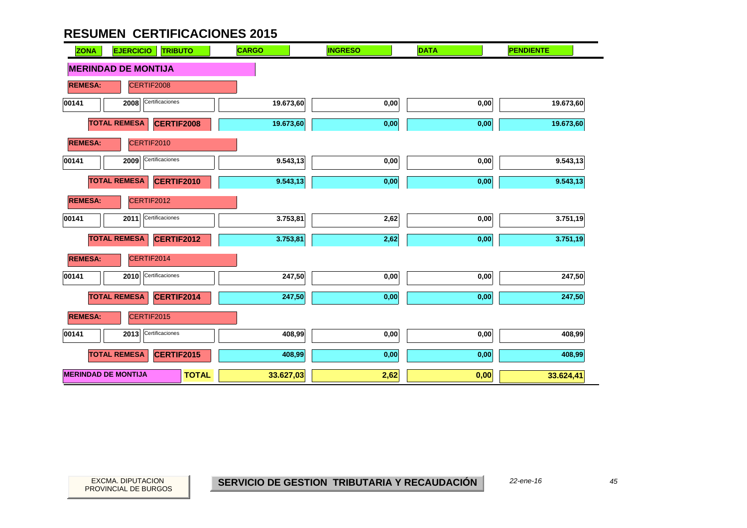| <b>ZONA</b><br><b>EJERCICIO</b><br><b>TRIBUTO</b> | <b>CARGO</b> | <b>INGRESO</b> | <b>DATA</b> | <b>PENDIENTE</b> |
|---------------------------------------------------|--------------|----------------|-------------|------------------|
| <b>MERINDAD DE MONTIJA</b>                        |              |                |             |                  |
| <b>REMESA:</b><br>CERTIF2008                      |              |                |             |                  |
| Certificaciones<br>00141<br>2008                  | 19.673,60    | 0,00           | 0,00        | 19.673,60        |
| <b>TOTAL REMESA</b><br>CERTIF2008                 | 19.673,60    | 0,00           | 0,00        | 19.673,60        |
| <b>REMESA:</b><br>CERTIF2010                      |              |                |             |                  |
| Certificaciones<br>00141<br>2009                  | 9.543,13     | 0,00           | 0,00        | 9.543,13         |
| <b>TOTAL REMESA</b><br>CERTIF2010                 | 9.543,13     | 0,00           | 0,00        | 9.543,13         |
| <b>REMESA:</b><br>CERTIF2012                      |              |                |             |                  |
| Certificaciones<br>00141<br>2011                  | 3.753,81     | 2,62           | 0,00        | 3.751,19         |
| <b>TOTAL REMESA</b><br>CERTIF2012                 | 3.753,81     | 2,62           | 0,00        | 3.751,19         |
| <b>REMESA:</b><br>CERTIF2014                      |              |                |             |                  |
| Certificaciones<br>00141<br>2010                  | 247,50       | 0,00           | 0,00        | 247,50           |
| <b>TOTAL REMESA</b><br>CERTIF2014                 | 247,50       | 0,00           | 0,00        | 247,50           |
| <b>REMESA:</b><br>CERTIF2015                      |              |                |             |                  |
| Certificaciones<br>00141<br>2013                  | 408,99       | 0,00           | 0,00        | 408,99           |
| <b>TOTAL REMESA</b><br>CERTIF2015                 | 408,99       | 0,00           | 0,00        | 408,99           |
| <b>MERINDAD DE MONTIJA</b><br><b>TOTAL</b>        | 33.627,03    | 2,62           | 0,00        | 33.624,41        |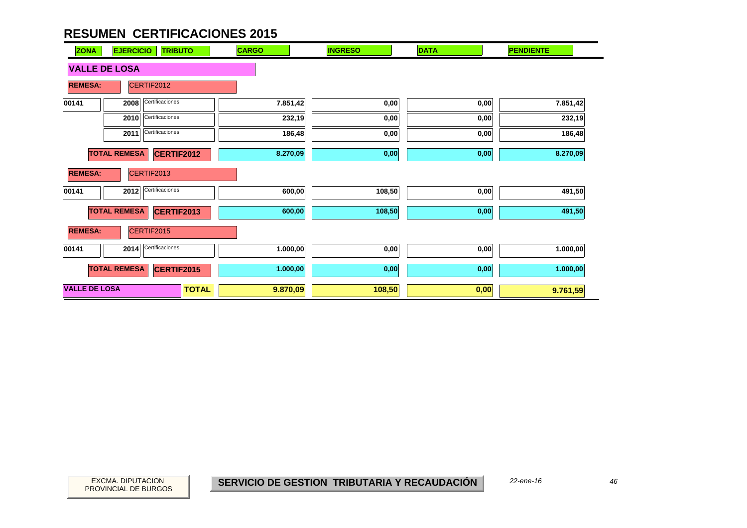| <b>ZONA</b>          | <b>EJERCICIO</b><br><b>TRIBUTO</b>       | <b>CARGO</b>             | <b>INGRESO</b>   | <b>DATA</b> | <b>PENDIENTE</b> |
|----------------------|------------------------------------------|--------------------------|------------------|-------------|------------------|
| <b>VALLE DE LOSA</b> |                                          |                          |                  |             |                  |
| <b>REMESA:</b>       | CERTIF2012                               |                          |                  |             |                  |
| 00141                | Certificaciones<br>2008                  |                          | 7.851,42<br>0,00 | 0,00        | 7.851,42         |
|                      | Certificaciones<br>2010                  |                          | 232,19<br>0,00   | 0,00        | 232,19           |
|                      | Certificaciones<br>2011                  |                          | 186,48<br>0,00   | 0,00        | 186,48           |
|                      | <b>TOTAL REMESA</b><br><b>CERTIF2012</b> |                          | 0,00<br>8.270,09 | 0,00        | 8.270,09         |
| <b>REMESA:</b>       | CERTIF2013                               |                          |                  |             |                  |
| 00141                | Certificaciones<br>2012                  |                          | 600,00<br>108,50 | 0,00        | 491,50           |
|                      | <b>TOTAL REMESA</b><br>CERTIF2013        |                          | 600,00<br>108,50 | 0,00        | 491,50           |
| <b>REMESA:</b>       | CERTIF2015                               |                          |                  |             |                  |
| 00141                | Certificaciones<br>2014                  |                          | 0,00<br>1.000,00 | 0,00        | 1.000,00         |
|                      | <b>TOTAL REMESA</b><br>CERTIF2015        |                          | 1.000,00<br>0,00 | 0,00        | 1.000,00         |
| <b>VALLE DE LOSA</b> |                                          | <b>TOTAL</b><br>9.870,09 | 108,50           | 0,00        | 9.761,59         |

46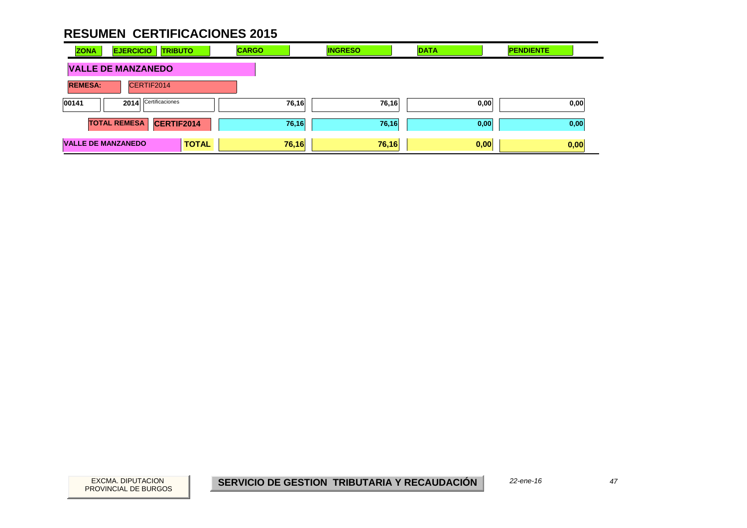| <b>ZONA</b>                      | <b>EJERCICIO</b><br><b>TRIBUTO</b> | <b>CARGO</b> | <b>INGRESO</b> | <b>DATA</b> | <b>PENDIENTE</b> |
|----------------------------------|------------------------------------|--------------|----------------|-------------|------------------|
|                                  | <b>VALLE DE MANZANEDO</b>          |              |                |             |                  |
| <b>REMESA:</b>                   | CERTIF2014                         |              |                |             |                  |
| Certificaciones<br>00141<br>2014 |                                    | 76,16        | 76,16          | 0,00        | 0,00             |
|                                  | <b>TOTAL REMESA</b><br>CERTIF2014  | 76,16        | 76,16          | 0,00        | 0,00             |
| <b>VALLE DE MANZANEDO</b>        | <b>TOTAL</b>                       | 76,16        | 76,16          | 0,00        | 0,00             |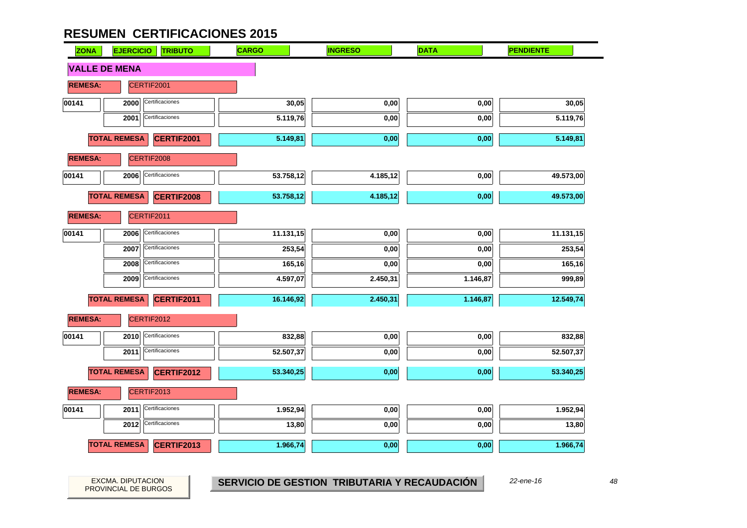| <b>ZONA</b>          | <b>EJERCICIO</b><br><b>TRIBUTO</b>       | <b>CARGO</b> | <b>INGRESO</b> | <b>DATA</b> | <b>PENDIENTE</b> |  |
|----------------------|------------------------------------------|--------------|----------------|-------------|------------------|--|
| <b>VALLE DE MENA</b> |                                          |              |                |             |                  |  |
| <b>REMESA:</b>       | CERTIF2001                               |              |                |             |                  |  |
| 00141                | Certificaciones<br>2000                  | 30,05        | 0,00           | 0,00        | 30,05            |  |
|                      | Certificaciones<br>2001                  | 5.119,76     | 0,00           | 0,00        | 5.119,76         |  |
|                      | <b>TOTAL REMESA</b><br><b>CERTIF2001</b> | 5.149,81     | 0,00           | 0,00        | 5.149,81         |  |
| <b>REMESA:</b>       | CERTIF2008                               |              |                |             |                  |  |
| 00141                | Certificaciones<br>2006                  | 53.758,12    | 4.185,12       | 0,00        | 49.573,00        |  |
|                      | <b>TOTAL REMESA</b><br><b>CERTIF2008</b> | 53.758,12    | 4.185,12       | 0,00        | 49.573,00        |  |
| <b>REMESA:</b>       | CERTIF2011                               |              |                |             |                  |  |
| 00141                | Certificaciones<br>2006                  | 11.131,15    | 0,00           | 0,00        | 11.131,15        |  |
|                      | Certificaciones<br>2007                  | 253,54       | 0,00           | 0,00        | 253,54           |  |
|                      | Certificaciones<br>2008                  | 165,16       | 0,00           | 0,00        | 165,16           |  |
|                      | Certificaciones<br>2009                  | 4.597,07     | 2.450,31       | 1.146,87    | 999,89           |  |
|                      | <b>TOTAL REMESA</b><br>CERTIF2011        | 16.146,92    | 2.450,31       | 1.146,87    | 12.549,74        |  |
| <b>REMESA:</b>       | CERTIF2012                               |              |                |             |                  |  |
| 00141                | 2010<br>Certificaciones                  | 832,88       | 0,00           | 0,00        | 832,88           |  |
|                      | Certificaciones<br>2011                  | 52.507,37    | 0,00           | 0,00        | 52.507,37        |  |
|                      | <b>TOTAL REMESA</b><br><b>CERTIF2012</b> | 53.340,25    | 0,00           | 0,00        | 53.340,25        |  |
| <b>REMESA:</b>       | CERTIF2013                               |              |                |             |                  |  |
| 00141                | Certificaciones<br>2011                  | 1.952,94     | 0,00           | 0,00        | 1.952,94         |  |
|                      | Certificaciones<br>2012                  | 13,80        | 0,00           | 0,00        | 13,80            |  |
|                      | <b>TOTAL REMESA</b><br><b>CERTIF2013</b> | 1.966,74     | 0,00           | 0,00        | 1.966,74         |  |

PROVINCIAL DE BURGOS

EXCMA. DIPUTACION *48* **SERVICIO DE GESTION TRIBUTARIA Y RECAUDACIÓN** *22-ene-16*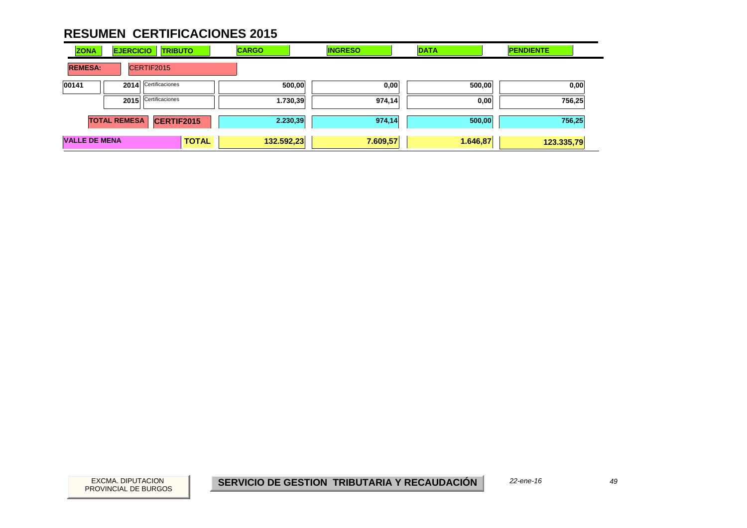| <b>ZONA</b>          | <b>EJERCICIO</b>    | <b>TRIBUTO</b>       | <b>CARGO</b> | <b>INGRESO</b> |          | <b>DATA</b> | <b>PENDIENTE</b> |      |
|----------------------|---------------------|----------------------|--------------|----------------|----------|-------------|------------------|------|
| <b>REMESA:</b>       |                     | CERTIF2015           |              |                |          |             |                  |      |
| 00141                |                     | 2014 Certificaciones | 500,00       |                | 0,00     | 500,00      |                  | 0,00 |
|                      |                     | 2015 Certificaciones | 1.730,39     |                | 974,14   | 0,00        | 756,25           |      |
|                      | <b>TOTAL REMESA</b> | <b>CERTIF2015</b>    | 2.230,39     |                | 974,14   | 500,00      | 756,25           |      |
| <b>VALLE DE MENA</b> |                     | <b>TOTAL</b>         | 132.592,23   |                | 7.609,57 | 1.646,87    | 123.335,79       |      |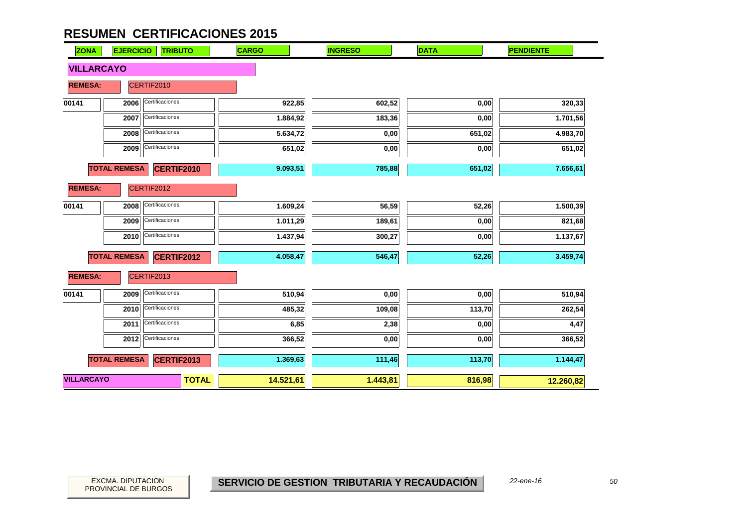| <b>ZONA</b>       | <b>EJERCICIO</b>    | <b>TRIBUTO</b>    | <b>CARGO</b> | <b>INGRESO</b> | <b>DATA</b> | <b>PENDIENTE</b> |
|-------------------|---------------------|-------------------|--------------|----------------|-------------|------------------|
| <b>VILLARCAYO</b> |                     |                   |              |                |             |                  |
| <b>REMESA:</b>    |                     | CERTIF2010        |              |                |             |                  |
| 00141             | 2006                | Certificaciones   | 922,85       | 602,52         | 0,00        | 320,33           |
|                   | 2007                | Certificaciones   | 1.884,92     | 183,36         | 0,00        | 1.701,56         |
|                   | 2008                | Certificaciones   | 5.634,72     | 0,00           | 651,02      | 4.983,70         |
|                   | 2009                | Certificaciones   | 651,02       | 0,00           | 0,00        | 651,02           |
|                   | <b>TOTAL REMESA</b> | <b>CERTIF2010</b> | 9.093,51     | 785,88         | 651,02      | 7.656,61         |
| <b>REMESA:</b>    |                     | CERTIF2012        |              |                |             |                  |
| 00141             | 2008                | Certificaciones   | 1.609,24     | 56,59          | 52,26       | 1.500,39         |
|                   | 2009                | Certificaciones   | 1.011,29     | 189,61         | 0,00        | 821,68           |
|                   | 2010                | Certificaciones   | 1.437,94     | 300,27         | 0,00        | 1.137,67         |
|                   | <b>TOTAL REMESA</b> | <b>CERTIF2012</b> | 4.058,47     | 546,47         | 52,26       | 3.459,74         |
| <b>REMESA:</b>    |                     | CERTIF2013        |              |                |             |                  |
| 00141             | 2009                | Certificaciones   | 510,94       | 0,00           | 0,00        | 510,94           |
|                   | 2010                | Certificaciones   | 485,32       | 109,08         | 113,70      | 262,54           |
|                   | 2011                | Certificaciones   | 6,85         | 2,38           | 0,00        | 4,47             |
|                   | 2012                | Certificaciones   | 366,52       | 0,00           | 0,00        | 366,52           |
|                   | <b>TOTAL REMESA</b> | <b>CERTIF2013</b> | 1.369,63     | 111,46         | 113,70      | 1.144,47         |
| <b>VILLARCAYO</b> |                     | <b>TOTAL</b>      | 14.521,61    | 1.443,81       | 816,98      | 12.260,82        |

 $\overline{\phantom{0}}$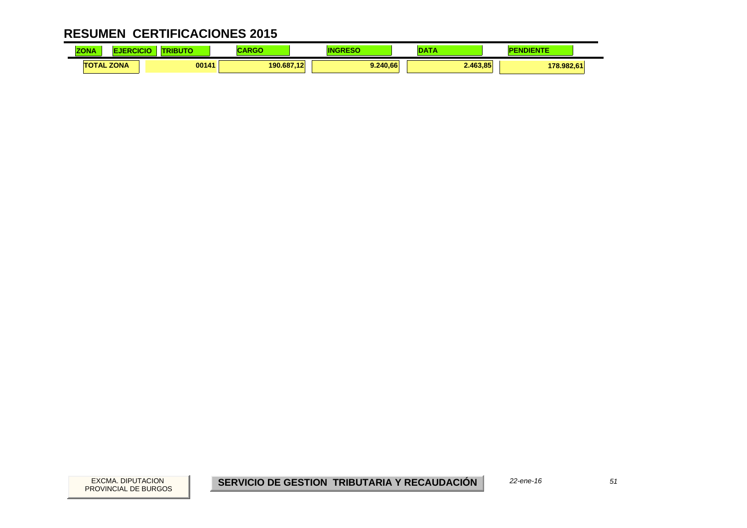| $-0.1 - 0.0$<br><b>ZONA</b> | CICK | .     |         |                                                 | <b>CONTRACTOR</b> | <b><i><u>Property</u></i></b> |  |
|-----------------------------|------|-------|---------|-------------------------------------------------|-------------------|-------------------------------|--|
| <b>TOTAL ZONA</b>           |      | 00141 | 190.687 | 9.240.66<br>$\overline{a}$<br>$\sim$ 1.6 $\sim$ | 2.463.85          | 178.982.61                    |  |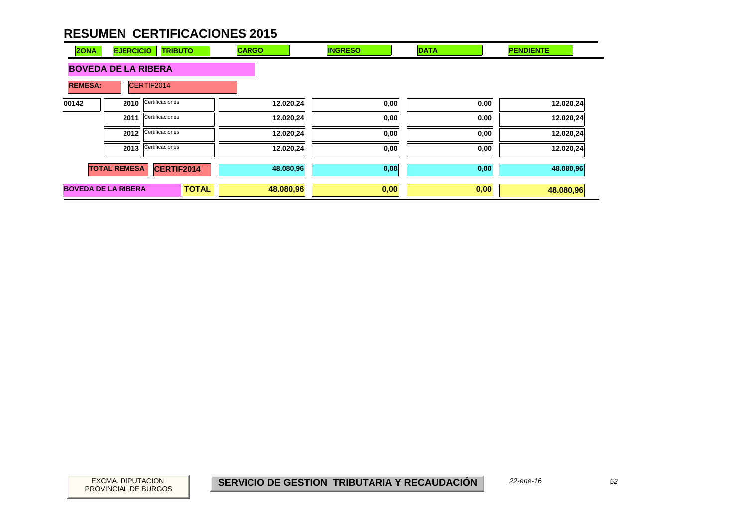| <b>ZONA</b>                  | <b>EJERCICIO</b>    | <b>TRIBUTO</b>  | <b>CARGO</b> | <b>INGRESO</b> | <b>DATA</b> | <b>PENDIENTE</b> |
|------------------------------|---------------------|-----------------|--------------|----------------|-------------|------------------|
| <b>BOVEDA DE LA RIBERA</b>   |                     |                 |              |                |             |                  |
| <b>REMESA:</b><br>CERTIF2014 |                     |                 |              |                |             |                  |
| 00142                        | 2010                | Certificaciones | 12.020,24    | 0,00           | 0,00        | 12.020,24        |
|                              | 2011                | Certificaciones | 12.020,24    | 0,00           | 0,00        | 12.020,24        |
|                              | 2012                | Certificaciones | 12.020,24    | 0,00           | 0,00        | 12.020,24        |
|                              | 2013                | Certificaciones | 12.020,24    | 0,00           | 0,00        | 12.020,24        |
|                              | <b>TOTAL REMESA</b> | CERTIF2014      | 48.080,96    | 0,00           | 0,00        | 48.080,96        |
| <b>BOVEDA DE LA RIBERA</b>   |                     | <b>TOTAL</b>    | 48.080,96    | 0,00           | 0,00        | 48.080,96        |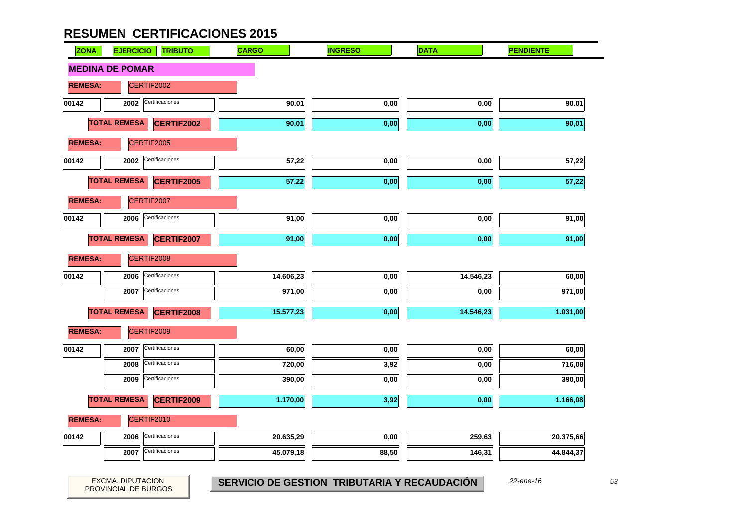| <b>ZONA</b>    | <b>EJERCICIO</b><br><b>TRIBUTO</b>       | <b>CARGO</b> | <b>INGRESO</b> | <b>DATA</b> | <b>PENDIENTE</b> |
|----------------|------------------------------------------|--------------|----------------|-------------|------------------|
|                | <b>MEDINA DE POMAR</b>                   |              |                |             |                  |
| <b>REMESA:</b> | CERTIF2002                               |              |                |             |                  |
| 00142          | Certificaciones<br>2002                  | 90,01        | 0,00           | 0,00        | 90,01            |
|                | <b>TOTAL REMESA</b><br><b>CERTIF2002</b> | 90,01        | 0,00           | 0,00        | 90,01            |
| <b>REMESA:</b> | CERTIF2005                               |              |                |             |                  |
| 00142          | Certificaciones<br>2002                  | 57,22        | 0,00           | 0,00        | 57,22            |
|                | <b>TOTAL REMESA</b><br><b>CERTIF2005</b> | 57,22        | 0,00           | 0,00        | 57,22            |
| <b>REMESA:</b> | CERTIF2007                               |              |                |             |                  |
| 00142          | Certificaciones<br>2006                  | 91,00        | 0,00           | 0,00        | 91,00            |
|                | <b>TOTAL REMESA</b><br>CERTIF2007        | 91,00        | 0,00           | 0,00        | 91,00            |
| <b>REMESA:</b> | CERTIF2008                               |              |                |             |                  |
| 00142          | Certificaciones<br>2006                  | 14.606,23    | 0,00           | 14.546,23   | 60,00            |
|                | Certificaciones<br>2007                  | 971,00       | 0,00           | 0,00        | 971,00           |
|                | <b>TOTAL REMESA</b><br><b>CERTIF2008</b> | 15.577,23    | 0,00           | 14.546,23   | 1.031,00         |
| <b>REMESA:</b> | CERTIF2009                               |              |                |             |                  |
| 00142          | Certificaciones<br>2007                  | 60,00        | 0,00           | $0,\!00$    | 60,00            |
|                | Certificaciones<br>2008                  | 720,00       | 3,92           | 0,00        | 716,08           |
|                | Certificaciones<br>2009                  | 390,00       | 0,00           | 0,00        | 390,00           |
|                | <b>TOTAL REMESA</b><br><b>CERTIF2009</b> | 1.170,00     | 3,92           | 0,00        | 1.166,08         |
| <b>REMESA:</b> | CERTIF2010                               |              |                |             |                  |
| 00142          | Certificaciones<br>2006                  | 20.635,29    | 0,00           | 259,63      | 20.375,66        |
|                | Certificaciones<br>2007                  | 45.079,18    | 88,50          | 146,31      | 44.844,37        |

PROVINCIAL DE BURGOS

EXCMA. DIPUTACION *53* **SERVICIO DE GESTION TRIBUTARIA Y RECAUDACIÓN** *22-ene-16*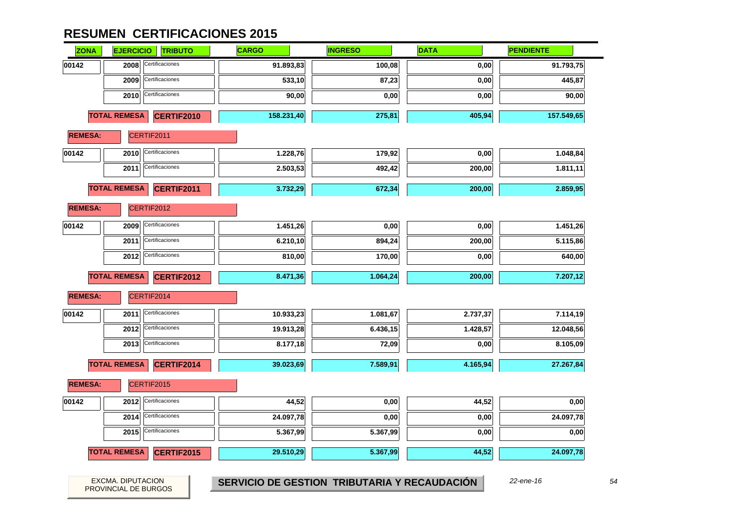| <b>ZONA</b>    | <b>EJERCICIO</b>    | <b>TRIBUTO</b>    | <b>CARGO</b> | <b>INGRESO</b> | <b>DATA</b> | <b>PENDIENTE</b> |
|----------------|---------------------|-------------------|--------------|----------------|-------------|------------------|
| 00142          | 2008                | Certificaciones   | 91.893,83    | 100,08         | 0,00        | 91.793,75        |
|                | 2009                | Certificaciones   | 533,10       | 87,23          | 0,00        | 445,87           |
|                | 2010                | Certificaciones   | 90,00        | 0,00           | 0,00        | 90,00            |
|                | <b>TOTAL REMESA</b> | <b>CERTIF2010</b> | 158.231,40   | 275,81         | 405,94      | 157.549,65       |
| <b>REMESA:</b> |                     | CERTIF2011        |              |                |             |                  |
| 00142          | 2010                | Certificaciones   | 1.228,76     | 179,92         | 0,00        | 1.048,84         |
|                | 2011                | Certificaciones   | 2.503,53     | 492,42         | 200,00      | 1.811,11         |
|                | <b>TOTAL REMESA</b> | CERTIF2011        | 3.732,29     | 672,34         | 200,00      | 2.859,95         |
| <b>REMESA:</b> |                     | CERTIF2012        |              |                |             |                  |
| 00142          | 2009                | Certificaciones   | 1.451,26     | 0,00           | 0,00        | 1.451,26         |
|                | 2011                | Certificaciones   | 6.210,10     | 894,24         | 200,00      | 5.115,86         |
|                | 2012                | Certificaciones   | 810,00       | 170,00         | 0,00        | 640,00           |
|                | <b>TOTAL REMESA</b> | <b>CERTIF2012</b> | 8.471,36     | 1.064,24       | 200,00      | 7.207,12         |
| <b>REMESA:</b> |                     | CERTIF2014        |              |                |             |                  |
| 00142          | 2011                | Certificaciones   | 10.933,23    | 1.081,67       | 2.737,37    | 7.114,19         |
|                | 2012                | Certificaciones   | 19.913,28    | 6.436,15       | 1.428,57    | 12.048,56        |
|                | 2013                | Certificaciones   | 8.177,18     | 72,09          | 0,00        | 8.105,09         |
|                | <b>TOTAL REMESA</b> | CERTIF2014        | 39.023,69    | 7.589,91       | 4.165,94    | 27.267,84        |
| <b>REMESA:</b> |                     | CERTIF2015        |              |                |             |                  |
| 00142          | 2012                | Certificaciones   | 44,52        | 0,00           | 44,52       | 0,00             |
|                | 2014                | Certificaciones   | 24.097,78    | 0,00           | 0,00        | 24.097,78        |
|                | 2015                | Certificaciones   | 5.367,99     | 5.367,99       | 0,00        | 0,00             |
|                | <b>TOTAL REMESA</b> | CERTIF2015        | 29.510,29    | 5.367,99       | 44,52       | 24.097,78        |
|                |                     |                   |              |                |             |                  |

PROVINCIAL DE BURGOS

EXCMA. DIPUTACION *54* **SERVICIO DE GESTION TRIBUTARIA Y RECAUDACIÓN** *22-ene-16*

54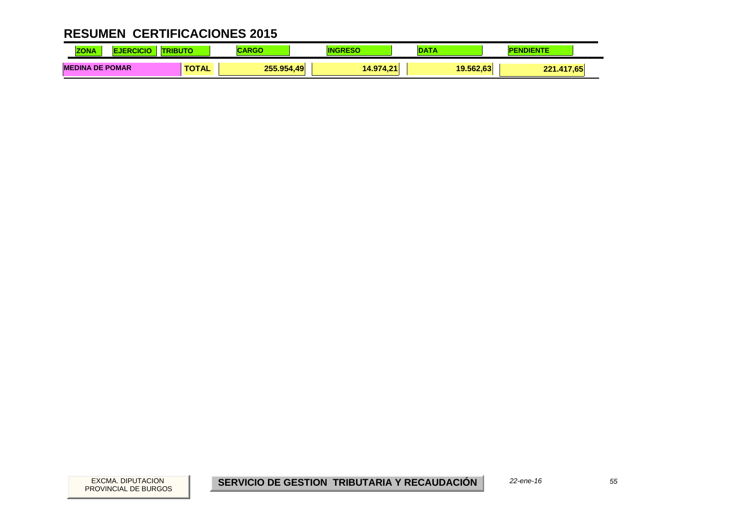| <b>70NA</b><br>.                 |              |                        |                | <b>DATA</b> |                        |
|----------------------------------|--------------|------------------------|----------------|-------------|------------------------|
| <b>DE POMAR</b><br><b>MEDINA</b> | <b>TOTAL</b> | 255.954.<br>49<br>---- | 14.974.2<br>AA | 19.562.63   | <br><b>DOM</b><br>7.65 |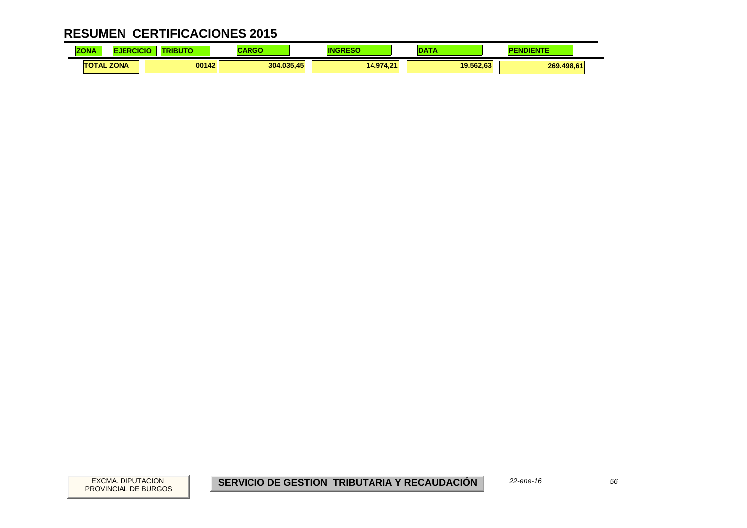| <b>ZONA</b> |                   | <b><i>BENDERS</i></b> | $\sim$ $\sim$ $\sim$ $\sim$<br>,,,,, |          |           | <b>NDIENTE</b> |  |
|-------------|-------------------|-----------------------|--------------------------------------|----------|-----------|----------------|--|
|             | <b>TOTAL ZONA</b> | 00142                 | 304.035,45                           | 14.974.2 | 19.562.63 | 269.498.61     |  |